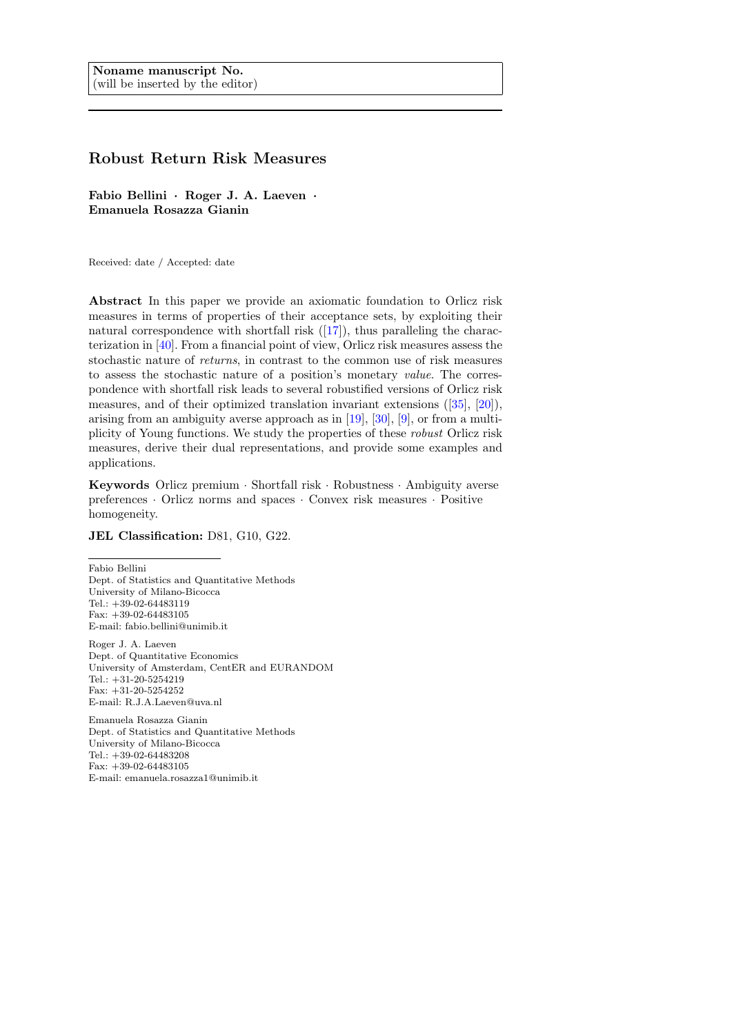# Robust Return Risk Measures

Fabio Bellini · Roger J. A. Laeven · Emanuela Rosazza Gianin

Received: date / Accepted: date

Abstract In this paper we provide an axiomatic foundation to Orlicz risk measures in terms of properties of their acceptance sets, by exploiting their natural correspondence with shortfall risk  $(17)$ , thus paralleling the characterization in [\[40\]](#page-32-0). From a financial point of view, Orlicz risk measures assess the stochastic nature of returns, in contrast to the common use of risk measures to assess the stochastic nature of a position's monetary value. The correspondence with shortfall risk leads to several robustified versions of Orlicz risk measures, and of their optimized translation invariant extensions ([\[35\]](#page-32-1), [\[20\]](#page-31-1)), arising from an ambiguity averse approach as in [\[19\]](#page-31-2), [\[30\]](#page-32-2), [\[9\]](#page-31-3), or from a multiplicity of Young functions. We study the properties of these robust Orlicz risk measures, derive their dual representations, and provide some examples and applications.

Keywords Orlicz premium · Shortfall risk · Robustness · Ambiguity averse preferences · Orlicz norms and spaces · Convex risk measures · Positive homogeneity.

## JEL Classification: D81, G10, G22.

Fabio Bellini Dept. of Statistics and Quantitative Methods University of Milano-Bicocca Tel.: +39-02-64483119  $Fax: +39-02-64483105$ E-mail: fabio.bellini@unimib.it

Roger J. A. Laeven Dept. of Quantitative Economics University of Amsterdam, CentER and EURANDOM Tel.: +31-20-5254219 Fax: +31-20-5254252 E-mail: R.J.A.Laeven@uva.nl

Emanuela Rosazza Gianin Dept. of Statistics and Quantitative Methods University of Milano-Bicocca Tel.: +39-02-64483208 Fax: +39-02-64483105 E-mail: emanuela.rosazza1@unimib.it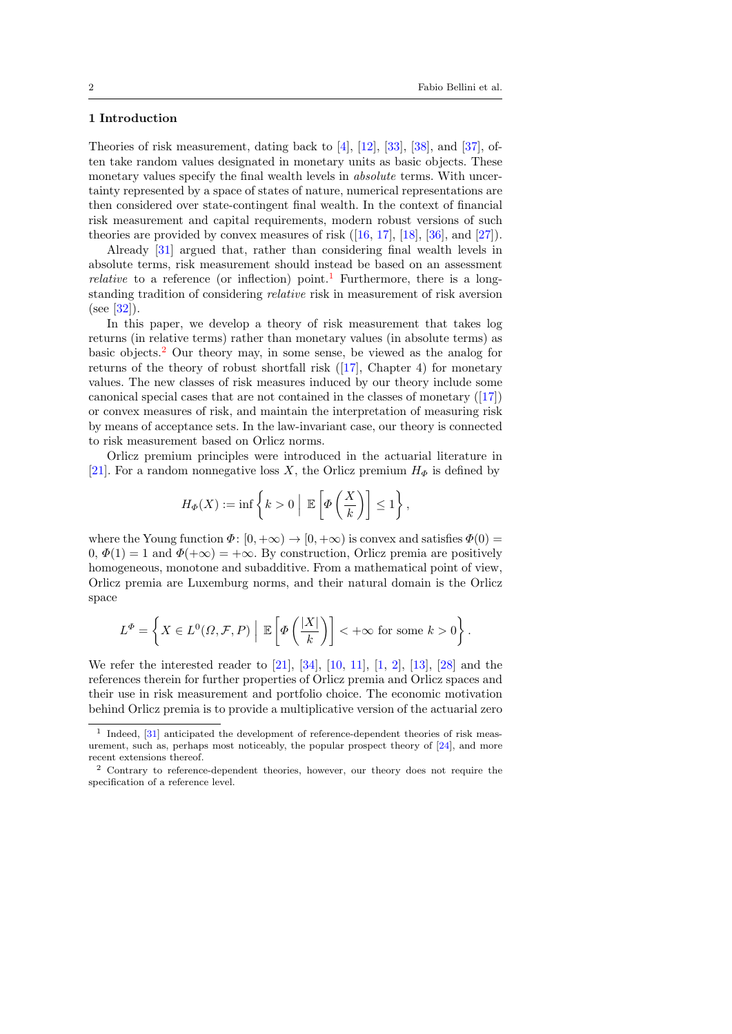## 1 Introduction

Theories of risk measurement, dating back to [\[4\]](#page-30-0), [\[12\]](#page-31-4), [\[33\]](#page-32-3), [\[38\]](#page-32-4), and [\[37\]](#page-32-5), often take random values designated in monetary units as basic objects. These monetary values specify the final wealth levels in *absolute* terms. With uncertainty represented by a space of states of nature, numerical representations are then considered over state-contingent final wealth. In the context of financial risk measurement and capital requirements, modern robust versions of such theories are provided by convex measures of risk  $([16, 17], [18], [36], \text{ and } [27])$  $([16, 17], [18], [36], \text{ and } [27])$  $([16, 17], [18], [36], \text{ and } [27])$  $([16, 17], [18], [36], \text{ and } [27])$  $([16, 17], [18], [36], \text{ and } [27])$  $([16, 17], [18], [36], \text{ and } [27])$  $([16, 17], [18], [36], \text{ and } [27])$  $([16, 17], [18], [36], \text{ and } [27])$  $([16, 17], [18], [36], \text{ and } [27])$  $([16, 17], [18], [36], \text{ and } [27])$  $([16, 17], [18], [36], \text{ and } [27])$ .

Already [\[31\]](#page-32-8) argued that, rather than considering final wealth levels in absolute terms, risk measurement should instead be based on an assessment *relative* to a reference (or inflection) point.<sup>[1](#page-1-0)</sup> Furthermore, there is a longstanding tradition of considering relative risk in measurement of risk aversion (see [\[32\]](#page-32-9)).

In this paper, we develop a theory of risk measurement that takes log returns (in relative terms) rather than monetary values (in absolute terms) as basic objects.[2](#page-1-1) Our theory may, in some sense, be viewed as the analog for returns of the theory of robust shortfall risk ([\[17\]](#page-31-0), Chapter 4) for monetary values. The new classes of risk measures induced by our theory include some canonical special cases that are not contained in the classes of monetary ([\[17\]](#page-31-0)) or convex measures of risk, and maintain the interpretation of measuring risk by means of acceptance sets. In the law-invariant case, our theory is connected to risk measurement based on Orlicz norms.

Orlicz premium principles were introduced in the actuarial literature in [\[21\]](#page-31-7). For a random nonnegative loss X, the Orlicz premium  $H_{\Phi}$  is defined by

$$
H_{\Phi}(X) := \inf \left\{ k > 0 \mid \mathbb{E}\left[\Phi\left(\frac{X}{k}\right)\right] \leq 1 \right\},\
$$

where the Young function  $\Phi: [0, +\infty) \to [0, +\infty)$  is convex and satisfies  $\Phi(0) =$  $(0, \Phi(1) = 1 \text{ and } \Phi(+\infty) = +\infty$ . By construction, Orlicz premia are positively homogeneous, monotone and subadditive. From a mathematical point of view, Orlicz premia are Luxemburg norms, and their natural domain is the Orlicz space

$$
L^{\Phi} = \left\{ X \in L^{0}(\Omega, \mathcal{F}, P) \mid \mathbb{E}\left[\Phi\left(\frac{|X|}{k}\right)\right] < +\infty \text{ for some } k > 0 \right\}.
$$

We refer the interested reader to [\[21\]](#page-31-7), [\[34\]](#page-32-10), [\[10,](#page-31-8) [11\]](#page-31-9), [\[1,](#page-30-1) [2\]](#page-30-2), [\[13\]](#page-31-10), [\[28\]](#page-32-11) and the references therein for further properties of Orlicz premia and Orlicz spaces and their use in risk measurement and portfolio choice. The economic motivation behind Orlicz premia is to provide a multiplicative version of the actuarial zero

<span id="page-1-0"></span><sup>&</sup>lt;sup>1</sup> Indeed, [\[31\]](#page-32-8) anticipated the development of reference-dependent theories of risk measurement, such as, perhaps most noticeably, the popular prospect theory of [\[24\]](#page-31-11), and more recent extensions thereof.

<span id="page-1-1"></span><sup>2</sup> Contrary to reference-dependent theories, however, our theory does not require the specification of a reference level.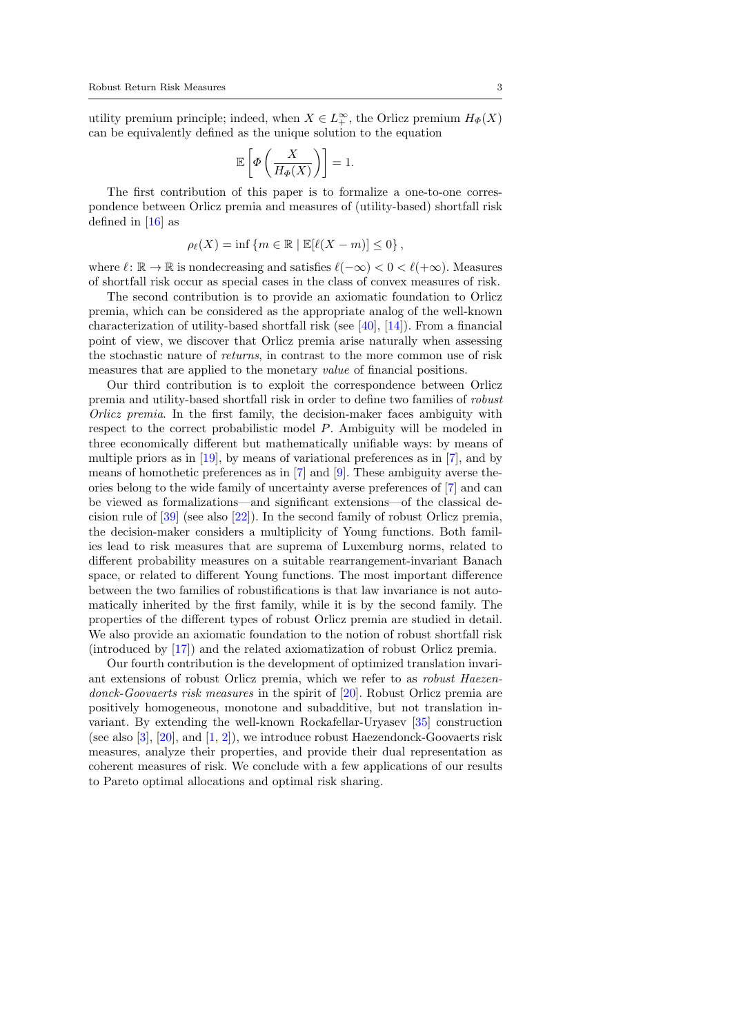utility premium principle; indeed, when  $X \in L_+^{\infty}$ , the Orlicz premium  $H_{\Phi}(X)$ can be equivalently defined as the unique solution to the equation

$$
\mathbb{E}\left[\Phi\left(\frac{X}{H_{\Phi}(X)}\right)\right] = 1.
$$

The first contribution of this paper is to formalize a one-to-one correspondence between Orlicz premia and measures of (utility-based) shortfall risk defined in  $[16]$  as

$$
\rho_{\ell}(X) = \inf \{ m \in \mathbb{R} \mid \mathbb{E}[\ell(X-m)] \le 0 \},
$$

where  $\ell : \mathbb{R} \to \mathbb{R}$  is nondecreasing and satisfies  $\ell(-\infty) < 0 < \ell(+\infty)$ . Measures of shortfall risk occur as special cases in the class of convex measures of risk.

The second contribution is to provide an axiomatic foundation to Orlicz premia, which can be considered as the appropriate analog of the well-known characterization of utility-based shortfall risk (see [\[40\]](#page-32-0), [\[14\]](#page-31-12)). From a financial point of view, we discover that Orlicz premia arise naturally when assessing the stochastic nature of returns, in contrast to the more common use of risk measures that are applied to the monetary value of financial positions.

Our third contribution is to exploit the correspondence between Orlicz premia and utility-based shortfall risk in order to define two families of robust Orlicz premia. In the first family, the decision-maker faces ambiguity with respect to the correct probabilistic model P. Ambiguity will be modeled in three economically different but mathematically unifiable ways: by means of multiple priors as in [\[19\]](#page-31-2), by means of variational preferences as in [\[7\]](#page-31-13), and by means of homothetic preferences as in [\[7\]](#page-31-13) and [\[9\]](#page-31-3). These ambiguity averse theories belong to the wide family of uncertainty averse preferences of [\[7\]](#page-31-13) and can be viewed as formalizations—and significant extensions—of the classical decision rule of [\[39\]](#page-32-12) (see also [\[22\]](#page-31-14)). In the second family of robust Orlicz premia, the decision-maker considers a multiplicity of Young functions. Both families lead to risk measures that are suprema of Luxemburg norms, related to different probability measures on a suitable rearrangement-invariant Banach space, or related to different Young functions. The most important difference between the two families of robustifications is that law invariance is not automatically inherited by the first family, while it is by the second family. The properties of the different types of robust Orlicz premia are studied in detail. We also provide an axiomatic foundation to the notion of robust shortfall risk (introduced by [\[17\]](#page-31-0)) and the related axiomatization of robust Orlicz premia.

Our fourth contribution is the development of optimized translation invariant extensions of robust Orlicz premia, which we refer to as robust Haezen-donck-Goovaerts risk measures in the spirit of [\[20\]](#page-31-1). Robust Orlicz premia are positively homogeneous, monotone and subadditive, but not translation invariant. By extending the well-known Rockafellar-Uryasev [\[35\]](#page-32-1) construction (see also  $[3]$ ,  $[20]$ , and  $[1, 2]$  $[1, 2]$  $[1, 2]$ ), we introduce robust Haezendonck-Goovaerts risk measures, analyze their properties, and provide their dual representation as coherent measures of risk. We conclude with a few applications of our results to Pareto optimal allocations and optimal risk sharing.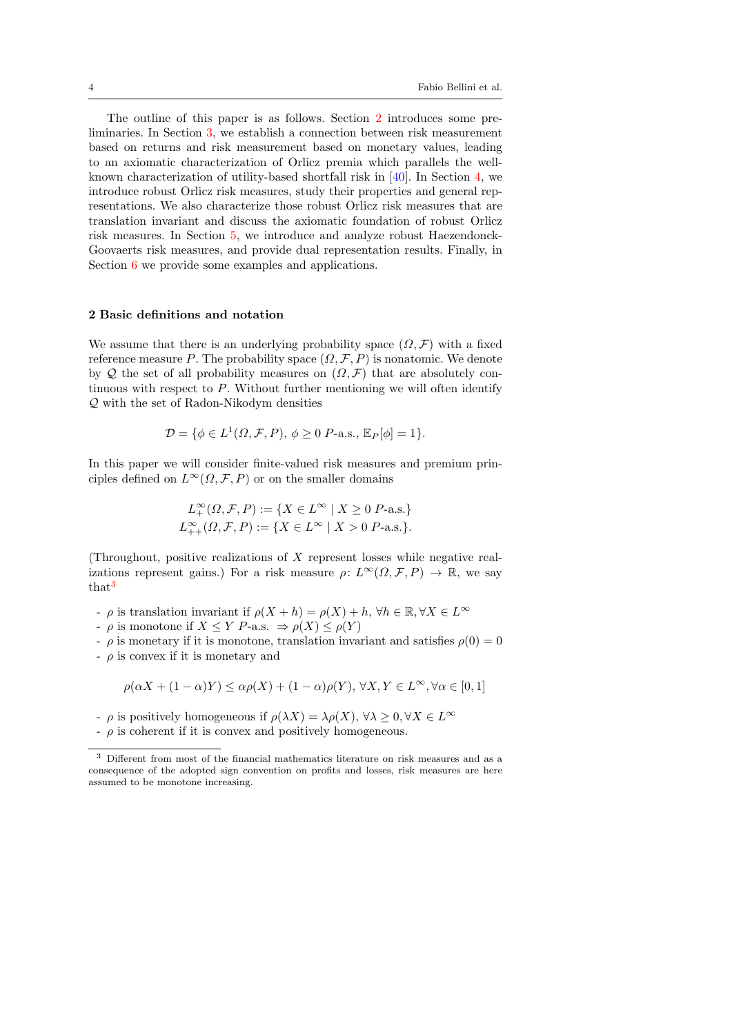The outline of this paper is as follows. Section [2](#page-3-0) introduces some preliminaries. In Section [3,](#page-5-0) we establish a connection between risk measurement based on returns and risk measurement based on monetary values, leading to an axiomatic characterization of Orlicz premia which parallels the wellknown characterization of utility-based shortfall risk in [\[40\]](#page-32-0). In Section [4,](#page-13-0) we introduce robust Orlicz risk measures, study their properties and general representations. We also characterize those robust Orlicz risk measures that are translation invariant and discuss the axiomatic foundation of robust Orlicz risk measures. In Section [5,](#page-25-0) we introduce and analyze robust Haezendonck-Goovaerts risk measures, and provide dual representation results. Finally, in Section [6](#page-28-0) we provide some examples and applications.

## <span id="page-3-0"></span>2 Basic definitions and notation

We assume that there is an underlying probability space  $(\Omega, \mathcal{F})$  with a fixed reference measure P. The probability space  $(\Omega, \mathcal{F}, P)$  is nonatomic. We denote by Q the set of all probability measures on  $(\Omega, \mathcal{F})$  that are absolutely continuous with respect to P. Without further mentioning we will often identify Q with the set of Radon-Nikodym densities

$$
\mathcal{D} = \{ \phi \in L^1(\Omega, \mathcal{F}, P), \phi \ge 0 \text{ } P\text{-a.s., } \mathbb{E}_P[\phi] = 1 \}.
$$

In this paper we will consider finite-valued risk measures and premium principles defined on  $L^{\infty}(\Omega, \mathcal{F}, P)$  or on the smaller domains

$$
L^{\infty}_{+}(\Omega, \mathcal{F}, P) := \{ X \in L^{\infty} \mid X \ge 0 \ P\text{-a.s.} \}
$$
  

$$
L^{\infty}_{++}(\Omega, \mathcal{F}, P) := \{ X \in L^{\infty} \mid X > 0 \ P\text{-a.s.} \}.
$$

(Throughout, positive realizations of X represent losses while negative realizations represent gains.) For a risk measure  $\rho: L^{\infty}(\Omega, \mathcal{F}, P) \to \mathbb{R}$ , we say that<sup>[3](#page-3-1)</sup>

- $\varphi$  is translation invariant if  $\rho(X+h) = \rho(X) + h$ ,  $\forall h \in \mathbb{R}, \forall X \in L^{\infty}$
- $\varphi$  is monotone if  $X \leq Y$  P-a.s.  $\Rightarrow \rho(X) \leq \rho(Y)$

 $-\rho$  is monetary if it is monotone, translation invariant and satisfies  $\rho(0) = 0$ 

 $-\rho$  is convex if it is monetary and

$$
\rho(\alpha X + (1 - \alpha)Y) \le \alpha \rho(X) + (1 - \alpha)\rho(Y), \forall X, Y \in L^{\infty}, \forall \alpha \in [0, 1]
$$

-  $\rho$  is positively homogeneous if  $\rho(\lambda X) = \lambda \rho(X)$ ,  $\forall \lambda \geq 0, \forall X \in L^{\infty}$ 

 $-\rho$  is coherent if it is convex and positively homogeneous.

<span id="page-3-1"></span><sup>3</sup> Different from most of the financial mathematics literature on risk measures and as a consequence of the adopted sign convention on profits and losses, risk measures are here assumed to be monotone increasing.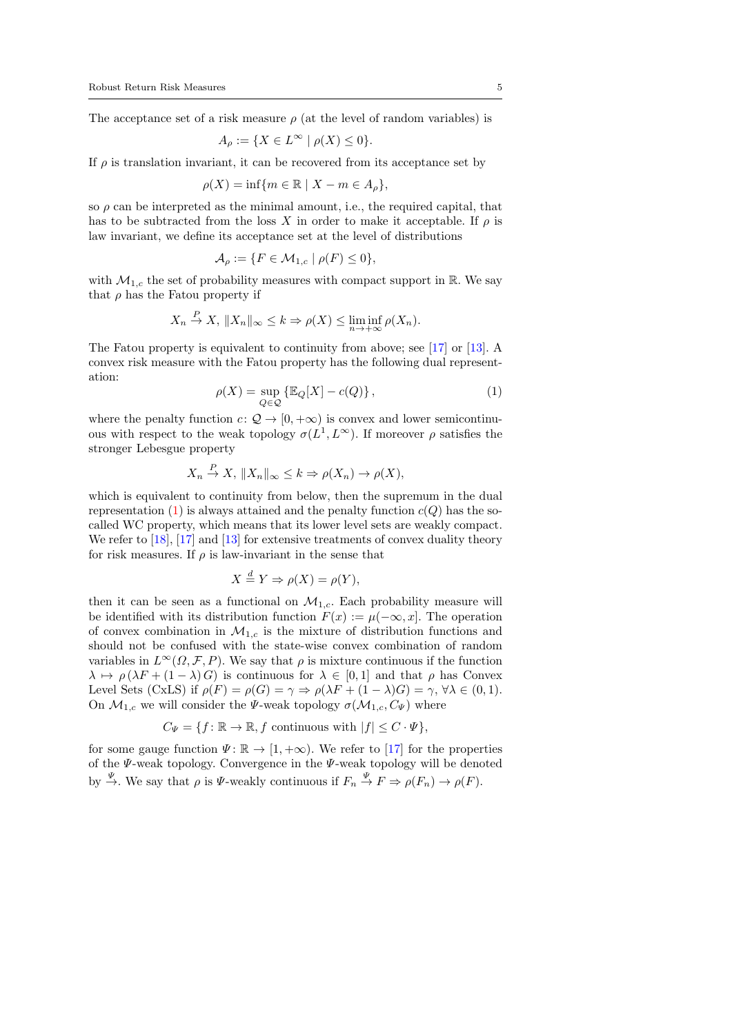The acceptance set of a risk measure  $\rho$  (at the level of random variables) is

$$
A_\rho:=\{X\in L^\infty\mid \rho(X)\leq 0\}.
$$

If  $\rho$  is translation invariant, it can be recovered from its acceptance set by

$$
\rho(X) = \inf \{ m \in \mathbb{R} \mid X - m \in A_{\rho} \},\
$$

so  $\rho$  can be interpreted as the minimal amount, i.e., the required capital, that has to be subtracted from the loss X in order to make it acceptable. If  $\rho$  is law invariant, we define its acceptance set at the level of distributions

$$
\mathcal{A}_{\rho} := \{ F \in \mathcal{M}_{1,c} \mid \rho(F) \le 0 \},
$$

with  $\mathcal{M}_{1,c}$  the set of probability measures with compact support in R. We say that  $\rho$  has the Fatou property if

$$
X_n \stackrel{P}{\to} X, \, \|X_n\|_{\infty} \leq k \Rightarrow \rho(X) \leq \liminf_{n \to +\infty} \rho(X_n).
$$

The Fatou property is equivalent to continuity from above; see [\[17\]](#page-31-0) or [\[13\]](#page-31-10). A convex risk measure with the Fatou property has the following dual representation:

<span id="page-4-0"></span>
$$
\rho(X) = \sup_{Q \in \mathcal{Q}} \left\{ \mathbb{E}_Q[X] - c(Q) \right\},\tag{1}
$$

where the penalty function  $c: \mathcal{Q} \to [0, +\infty)$  is convex and lower semicontinuous with respect to the weak topology  $\sigma(L^1, L^{\infty})$ . If moreover  $\rho$  satisfies the stronger Lebesgue property

$$
X_n \stackrel{P}{\to} X, \, \|X_n\|_{\infty} \leq k \Rightarrow \rho(X_n) \to \rho(X),
$$

which is equivalent to continuity from below, then the supremum in the dual representation [\(1\)](#page-4-0) is always attained and the penalty function  $c(Q)$  has the socalled WC property, which means that its lower level sets are weakly compact. We refer to  $[18]$ ,  $[17]$  and  $[13]$  for extensive treatments of convex duality theory for risk measures. If  $\rho$  is law-invariant in the sense that

$$
X \stackrel{d}{=} Y \Rightarrow \rho(X) = \rho(Y),
$$

then it can be seen as a functional on  $\mathcal{M}_{1,c}$ . Each probability measure will be identified with its distribution function  $F(x) := \mu(-\infty, x]$ . The operation of convex combination in  $\mathcal{M}_{1,c}$  is the mixture of distribution functions and should not be confused with the state-wise convex combination of random variables in  $L^{\infty}(\Omega, \mathcal{F}, P)$ . We say that  $\rho$  is mixture continuous if the function  $\lambda \mapsto \rho(\lambda F + (1 - \lambda) G)$  is continuous for  $\lambda \in [0, 1]$  and that  $\rho$  has Convex Level Sets (CxLS) if  $\rho(F) = \rho(G) = \gamma \Rightarrow \rho(\lambda F + (1 - \lambda)G) = \gamma$ ,  $\forall \lambda \in (0, 1)$ . On  $\mathcal{M}_{1,c}$  we will consider the *Ψ*-weak topology  $\sigma(\mathcal{M}_{1,c}, C_{\Psi})$  where

$$
C_{\Psi} = \{ f \colon \mathbb{R} \to \mathbb{R}, f \text{ continuous with } |f| \le C \cdot \Psi \},
$$

for some gauge function  $\Psi: \mathbb{R} \to [1, +\infty)$ . We refer to [\[17\]](#page-31-0) for the properties of the  $\Psi$ -weak topology. Convergence in the  $\Psi$ -weak topology will be denoted by  $\stackrel{\Psi}{\to}$ . We say that  $\rho$  is  $\Psi$ -weakly continuous if  $F_n \stackrel{\Psi}{\to} F \Rightarrow \rho(F_n) \to \rho(F)$ .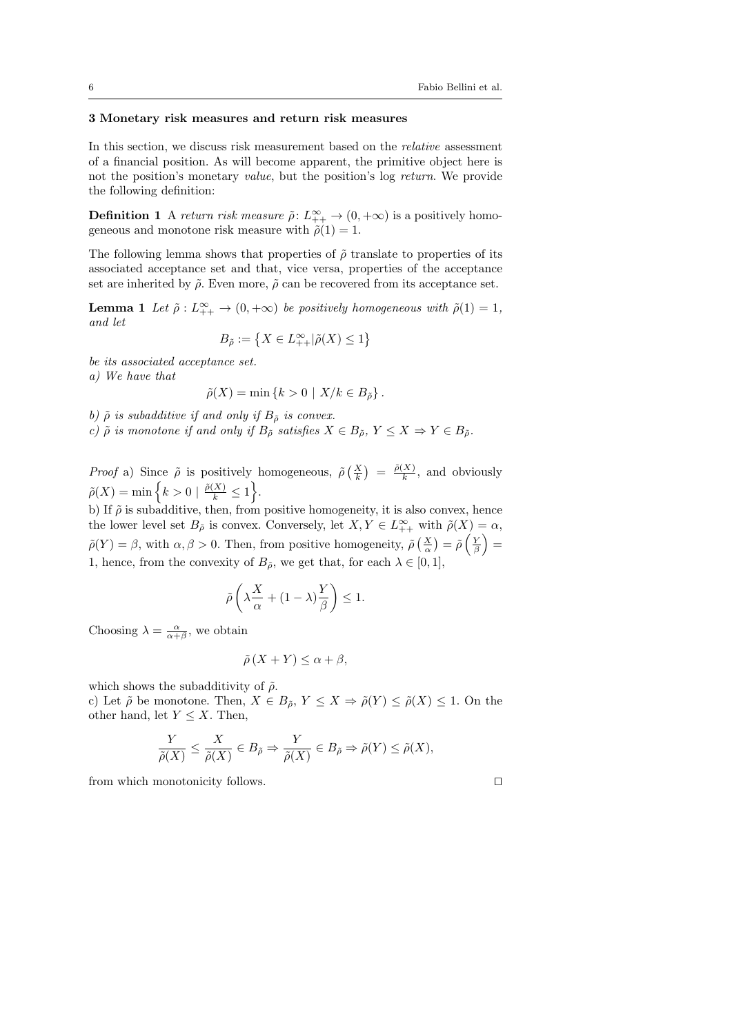### <span id="page-5-0"></span>3 Monetary risk measures and return risk measures

In this section, we discuss risk measurement based on the relative assessment of a financial position. As will become apparent, the primitive object here is not the position's monetary value, but the position's log return. We provide the following definition:

**Definition 1** A return risk measure  $\tilde{\rho}$ :  $L_{++}^{\infty} \to (0, +\infty)$  is a positively homogeneous and monotone risk measure with  $\tilde{\rho}(1) = 1$ .

The following lemma shows that properties of  $\tilde{\rho}$  translate to properties of its associated acceptance set and that, vice versa, properties of the acceptance set are inherited by  $\tilde{\rho}$ . Even more,  $\tilde{\rho}$  can be recovered from its acceptance set.

**Lemma 1** Let  $\tilde{\rho}: L_{++}^{\infty} \to (0, +\infty)$  be positively homogeneous with  $\tilde{\rho}(1) = 1$ , and let

$$
B_{\tilde{\rho}} := \left\{ X \in L^{\infty}_{++} | \tilde{\rho}(X) \le 1 \right\}
$$

be its associated acceptance set. a) We have that

$$
\tilde{\rho}(X) = \min\left\{k > 0 \mid X/k \in B_{\tilde{\rho}}\right\}.
$$

b)  $\tilde{\rho}$  is subadditive if and only if  $B_{\tilde{\rho}}$  is convex.

c)  $\tilde{\rho}$  is monotone if and only if  $B_{\tilde{\rho}}$  satisfies  $X \in B_{\tilde{\rho}}, Y \leq X \Rightarrow Y \in B_{\tilde{\rho}}$ .

*Proof* a) Since  $\tilde{\rho}$  is positively homogeneous,  $\tilde{\rho}\left(\frac{X}{k}\right) = \frac{\tilde{\rho}(X)}{k}$  $\frac{A}{k}$ , and obviously  $\tilde{\rho}(X) = \min\left\{k > 0 \mid \frac{\tilde{\rho}(X)}{k} \leq 1\right\}.$ 

b) If  $\tilde{\rho}$  is subadditive, then, from positive homogeneity, it is also convex, hence the lower level set  $B_{\tilde{\rho}}$  is convex. Conversely, let  $X, Y \in L^{\infty}_{++}$  with  $\tilde{\rho}(X) = \alpha$ ,  $\tilde{\rho}(Y) = \beta$ , with  $\alpha, \beta > 0$ . Then, from positive homogeneity,  $\tilde{\rho}\left(\frac{X}{\alpha}\right) = \tilde{\rho}\left(\frac{Y}{\beta}\right) =$ 1, hence, from the convexity of  $B_{\tilde{\rho}}$ , we get that, for each  $\lambda \in [0,1]$ ,

$$
\tilde{\rho}\left(\lambda \frac{X}{\alpha} + (1-\lambda)\frac{Y}{\beta}\right) \le 1.
$$

Choosing  $\lambda = \frac{\alpha}{\alpha + \beta}$ , we obtain

$$
\tilde{\rho}(X+Y) \le \alpha + \beta,
$$

which shows the subadditivity of  $\tilde{\rho}$ .

c) Let  $\tilde{\rho}$  be monotone. Then,  $X \in B_{\tilde{\rho}}, Y \leq X \Rightarrow \tilde{\rho}(Y) \leq \tilde{\rho}(X) \leq 1$ . On the other hand, let  $Y \leq X$ . Then,

$$
\frac{Y}{\tilde{\rho}(X)} \leq \frac{X}{\tilde{\rho}(X)} \in B_{\tilde{\rho}} \Rightarrow \frac{Y}{\tilde{\rho}(X)} \in B_{\tilde{\rho}} \Rightarrow \tilde{\rho}(Y) \leq \tilde{\rho}(X),
$$

from which monotonicity follows.  $\Box$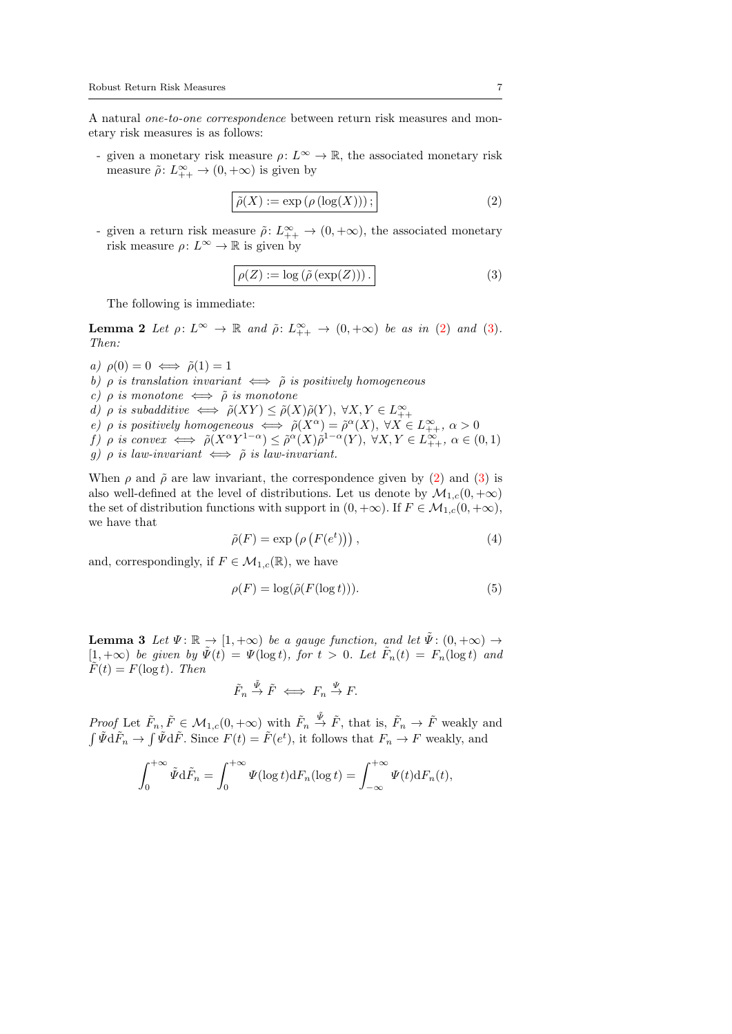A natural one-to-one correspondence between return risk measures and monetary risk measures is as follows:

- given a monetary risk measure  $\rho: L^{\infty} \to \mathbb{R}$ , the associated monetary risk measure  $\tilde{\rho}$ :  $L_{++}^{\infty} \to (0, +\infty)$  is given by

<span id="page-6-0"></span>
$$
\tilde{\rho}(X) := \exp\left(\rho\left(\log(X)\right)\right);\tag{2}
$$

- given a return risk measure  $\tilde{\rho}$ :  $L_{++}^{\infty} \to (0, +\infty)$ , the associated monetary risk measure  $\rho: L^{\infty} \to \mathbb{R}$  is given by

<span id="page-6-5"></span><span id="page-6-1"></span>
$$
\rho(Z) := \log\left(\tilde{\rho}\left(\exp(Z)\right)\right). \tag{3}
$$

The following is immediate:

**Lemma 2** Let  $\rho: L^{\infty} \to \mathbb{R}$  and  $\tilde{\rho}: L^{\infty}_{++} \to (0, +\infty)$  be as in [\(2\)](#page-6-0) and [\(3\)](#page-6-1). Then:

a)  $\rho(0) = 0 \iff \tilde{\rho}(1) = 1$ b)  $\rho$  is translation invariant  $\iff \tilde{\rho}$  is positively homogeneous c)  $\rho$  is monotone  $\iff \tilde{\rho}$  is monotone d)  $\rho$  is subadditive  $\iff \tilde{\rho}(XY) \leq \tilde{\rho}(X)\tilde{\rho}(Y), \ \forall X, Y \in L^{\infty}_{++}$ e)  $\rho$  is positively homogeneous  $\iff \tilde{\rho}(X^{\alpha}) = \tilde{\rho}^{\alpha}(X), \ \forall X \in L^{\infty}_{++}, \ \alpha > 0$ f)  $\rho$  is convex  $\iff \tilde{\rho}(X^{\alpha}Y^{1-\alpha}) \leq \tilde{\rho}^{\alpha}(X)\tilde{\rho}^{1-\alpha}(Y), \ \forall X, Y \in L^{\infty}_{++}, \ \alpha \in (0,1)$ g)  $\rho$  is law-invariant  $\iff \tilde{\rho}$  is law-invariant.

When  $\rho$  and  $\tilde{\rho}$  are law invariant, the correspondence given by [\(2\)](#page-6-0) and [\(3\)](#page-6-1) is also well-defined at the level of distributions. Let us denote by  $\mathcal{M}_{1,c}(0, +\infty)$ the set of distribution functions with support in  $(0, +\infty)$ . If  $F \in \mathcal{M}_{1,c}(0, +\infty)$ , we have that

<span id="page-6-2"></span>
$$
\tilde{\rho}(F) = \exp\left(\rho\left(F(e^t)\right)\right),\tag{4}
$$

and, correspondingly, if  $F \in \mathcal{M}_{1,c}(\mathbb{R})$ , we have

<span id="page-6-3"></span>
$$
\rho(F) = \log(\tilde{\rho}(F(\log t))).\tag{5}
$$

<span id="page-6-4"></span>**Lemma 3** Let  $\Psi: \mathbb{R} \to [1, +\infty)$  be a gauge function, and let  $\tilde{\Psi}: (0, +\infty) \to$  $[1, +\infty)$  be given by  $\tilde{\Psi}(t) = \Psi(\log t)$ , for  $t > 0$ . Let  $\tilde{F}_n(t) = F_n(\log t)$  and  $\tilde{F}(t) = F(\log t)$ . Then

$$
\tilde{F}_n \stackrel{\tilde{\Psi}}{\rightarrow} \tilde{F} \iff F_n \stackrel{\Psi}{\rightarrow} F.
$$

*Proof* Let  $\tilde{F}_n, \tilde{F} \in \mathcal{M}_{1,c}(0, +\infty)$  with  $\tilde{F}_n \stackrel{\tilde{\Psi}}{\rightarrow} \tilde{F}$ , that is,  $\tilde{F}_n \rightarrow \tilde{F}$  weakly and  $\int \tilde{\Psi} d\tilde{F}_n \to \int \tilde{\Psi} d\tilde{F}$ . Since  $F(t) = \tilde{F}(e^t)$ , it follows that  $F_n \to F$  weakly, and

$$
\int_0^{+\infty} \tilde{\Psi} \mathrm{d}\tilde{F}_n = \int_0^{+\infty} \Psi(\log t) \mathrm{d}F_n(\log t) = \int_{-\infty}^{+\infty} \Psi(t) \mathrm{d}F_n(t),
$$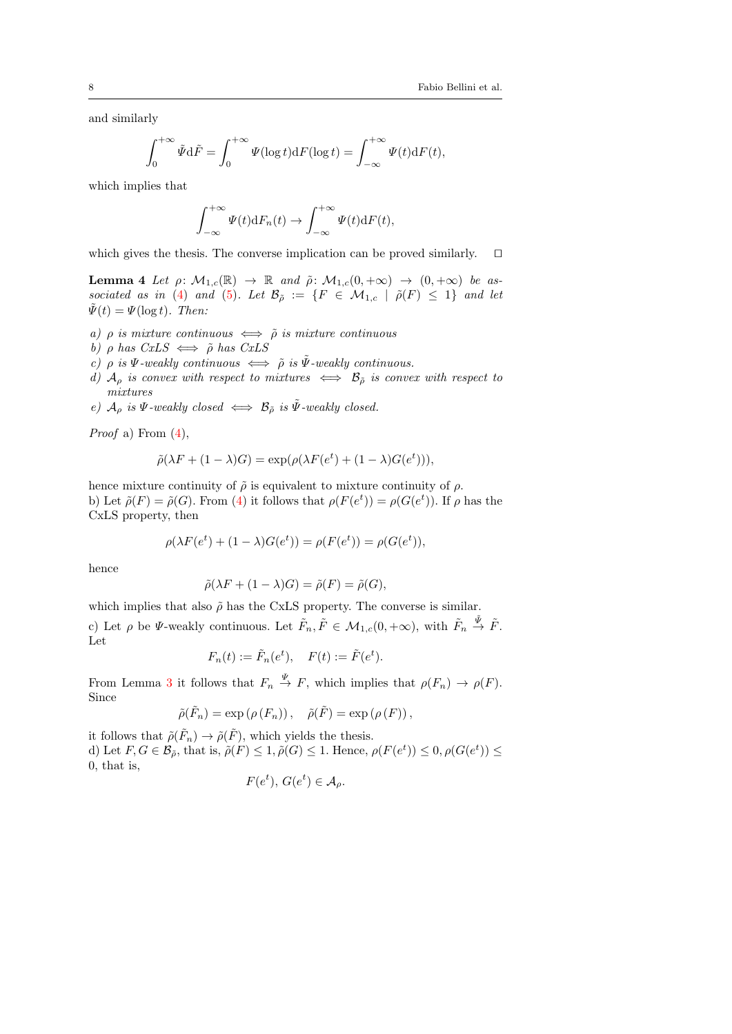and similarly

$$
\int_0^{+\infty} \tilde{\Psi} \mathrm{d}\tilde{F} = \int_0^{+\infty} \Psi(\log t) \mathrm{d}F(\log t) = \int_{-\infty}^{+\infty} \Psi(t) \mathrm{d}F(t),
$$

which implies that

$$
\int_{-\infty}^{+\infty} \Psi(t) \mathrm{d}F_n(t) \to \int_{-\infty}^{+\infty} \Psi(t) \mathrm{d}F(t),
$$

which gives the thesis. The converse implication can be proved similarly.  $\square$ 

<span id="page-7-0"></span>**Lemma 4** Let  $\rho: \mathcal{M}_{1,c}(\mathbb{R}) \to \mathbb{R}$  and  $\tilde{\rho}: \mathcal{M}_{1,c}(0, +\infty) \to (0, +\infty)$  be as-sociated as in [\(4\)](#page-6-2) and [\(5\)](#page-6-3). Let  $\mathcal{B}_{\tilde{\rho}} := \{F \in \mathcal{M}_{1,c} \mid \tilde{\rho}(F) \leq 1\}$  and let  $\tilde{\Psi}(t) = \Psi(\log t)$ . Then:

- a)  $\rho$  is mixture continuous  $\iff \tilde{\rho}$  is mixture continuous
- b)  $\rho$  has  $CxLS \iff \tilde{\rho}$  has  $CxLS$
- c)  $\rho$  is  $\Psi$ -weakly continuous  $\iff \tilde{\rho}$  is  $\tilde{\Psi}$ -weakly continuous.
- d)  $\mathcal{A}_{\rho}$  is convex with respect to mixtures  $\iff \mathcal{B}_{\rho}$  is convex with respect to mixtures
- e)  $\mathcal{A}_{\rho}$  is  $\Psi$ -weakly closed  $\iff \mathcal{B}_{\tilde{\rho}}$  is  $\tilde{\Psi}$ -weakly closed.

*Proof* a) From  $(4)$ ,

$$
\tilde{\rho}(\lambda F + (1 - \lambda)G) = \exp(\rho(\lambda F(e^t) + (1 - \lambda)G(e^t))),
$$

hence mixture continuity of  $\tilde{\rho}$  is equivalent to mixture continuity of  $\rho$ . b) Let  $\tilde{\rho}(F) = \tilde{\rho}(G)$ . From [\(4\)](#page-6-2) it follows that  $\rho(F(e^t)) = \rho(G(e^t))$ . If  $\rho$  has the CxLS property, then

$$
\rho(\lambda F(e^t) + (1 - \lambda)G(e^t)) = \rho(F(e^t)) = \rho(G(e^t)),
$$

hence

$$
\tilde{\rho}(\lambda F + (1 - \lambda)G) = \tilde{\rho}(F) = \tilde{\rho}(G),
$$

which implies that also  $\tilde{\rho}$  has the CxLS property. The converse is similar.

c) Let  $\rho$  be  $\Psi$ -weakly continuous. Let  $\tilde{F}_n, \tilde{F} \in \mathcal{M}_{1,c}(0, +\infty)$ , with  $\tilde{F}_n \stackrel{\tilde{\Psi}}{\rightarrow} \tilde{F}$ . Let

$$
F_n(t) := \tilde{F}_n(e^t), \quad F(t) := \tilde{F}(e^t).
$$

From Lemma [3](#page-6-4) it follows that  $F_n \stackrel{\Psi}{\to} F$ , which implies that  $\rho(F_n) \to \rho(F)$ . Since

$$
\tilde{\rho}(\tilde{F}_n) = \exp(\rho(F_n)), \quad \tilde{\rho}(\tilde{F}) = \exp(\rho(F)),
$$

it follows that  $\tilde{\rho}(\tilde{F}_n) \to \tilde{\rho}(\tilde{F})$ , which yields the thesis. d) Let  $F, G \in \mathcal{B}_{\tilde{\rho}},$  that is,  $\tilde{\rho}(F) \leq 1$ ,  $\tilde{\rho}(G) \leq 1$ . Hence,  $\rho(F(e^t)) \leq 0$ ,  $\rho(G(e^t)) \leq$ 0, that is,

$$
F(e^t), G(e^t) \in \mathcal{A}_{\rho}.
$$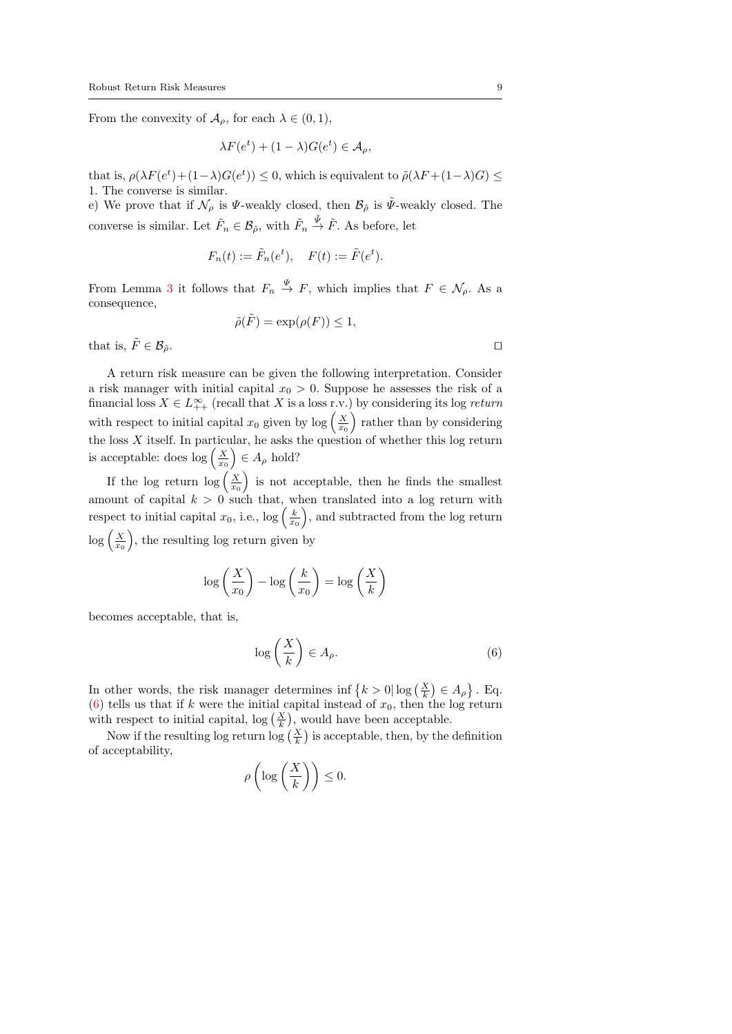From the convexity of  $\mathcal{A}_{\rho}$ , for each  $\lambda \in (0,1)$ ,

$$
\lambda F(e^t) + (1 - \lambda)G(e^t) \in \mathcal{A}_{\rho},
$$

that is,  $\rho(\lambda F(e^t) + (1 - \lambda)G(e^t)) \leq 0$ , which is equivalent to  $\tilde{\rho}(\lambda F + (1 - \lambda)G) \leq$ 1. The converse is similar.

e) We prove that if  $\mathcal{N}_{\rho}$  is  $\Psi$ -weakly closed, then  $\mathcal{B}_{\tilde{\rho}}$  is  $\tilde{\Psi}$ -weakly closed. The converse is similar. Let  $\tilde{F}_n \in \mathcal{B}_{\tilde{\rho}},$  with  $\tilde{F}_n \stackrel{\tilde{\Psi}}{\rightarrow} \tilde{F}$ . As before, let

$$
F_n(t) := \tilde{F}_n(e^t), \quad F(t) := \tilde{F}(e^t).
$$

From Lemma [3](#page-6-4) it follows that  $F_n \stackrel{\Psi}{\to} F$ , which implies that  $F \in \mathcal{N}_{\rho}$ . As a consequence,

$$
\tilde{\rho}(\tilde{F}) = \exp(\rho(F)) \le 1,
$$

that is,  $\tilde{F} \in \mathcal{B}_{\tilde{o}}$ .

A return risk measure can be given the following interpretation. Consider a risk manager with initial capital  $x_0 > 0$ . Suppose he assesses the risk of a financial loss  $X \in L^{\infty}_{++}$  (recall that X is a loss r.v.) by considering its log return with respect to initial capital  $x_0$  given by log  $\left(\frac{X}{x_0}\right)$  rather than by considering the loss X itself. In particular, he asks the question of whether this log return is acceptable: does  $\log\left(\frac{X}{x_0}\right) \in A_\rho$  hold?

If the log return  $\log\left(\frac{X}{x_0}\right)$  is not acceptable, then he finds the smallest amount of capital  $k > 0$  such that, when translated into a log return with respect to initial capital  $x_0$ , i.e.,  $\log\left(\frac{k}{x_0}\right)$ , and subtracted from the log return  $\log\left(\frac{X}{x_0}\right)$ , the resulting log return given by

$$
\log\left(\frac{X}{x_0}\right) - \log\left(\frac{k}{x_0}\right) = \log\left(\frac{X}{k}\right)
$$

becomes acceptable, that is,

<span id="page-8-0"></span>
$$
\log\left(\frac{X}{k}\right) \in A_{\rho}.\tag{6}
$$

In other words, the risk manager determines inf  $\{k > 0 | \log(\frac{X}{k}) \in A_{\rho}\}\.$  Eq. [\(6\)](#page-8-0) tells us that if k were the initial capital instead of  $x_0$ , then the log return with respect to initial capital,  $\log\left(\frac{X}{k}\right)$ , would have been acceptable.

Now if the resulting log return log  $(\frac{X}{k})$  is acceptable, then, by the definition of acceptability,

$$
o\left(\log\left(\frac{X}{k}\right)\right)\leq 0.
$$

ρ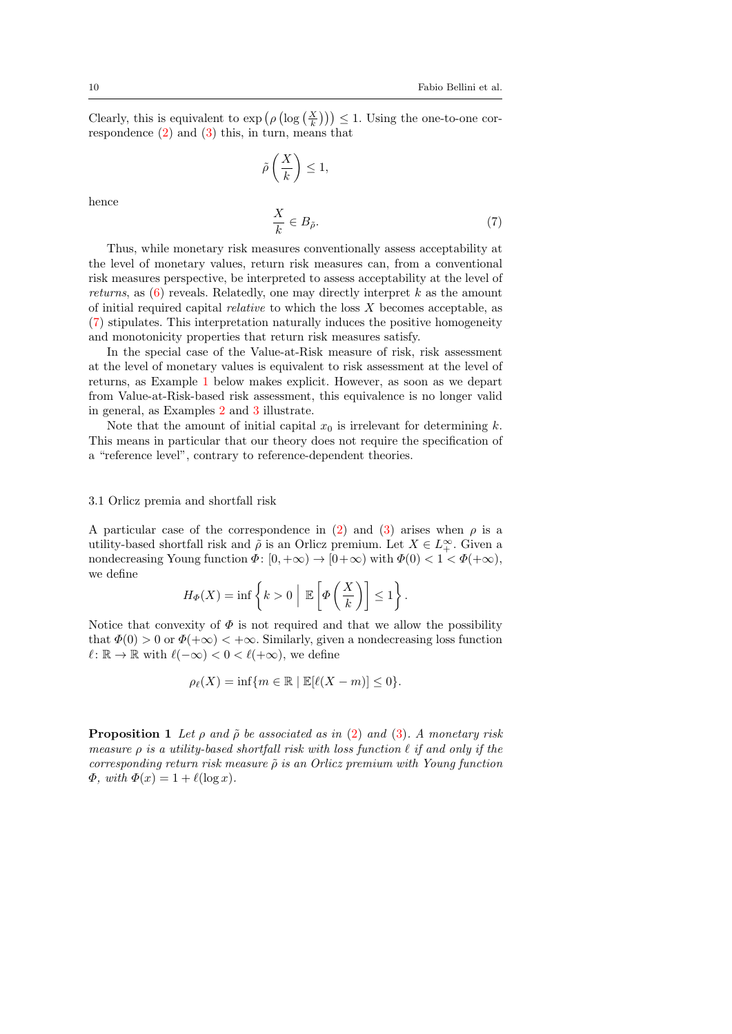Clearly, this is equivalent to  $\exp\left(\rho\left(\log\left(\frac{X}{k}\right)\right)\right) \leq 1$ . Using the one-to-one correspondence  $(2)$  and  $(3)$  this, in turn, means that

$$
\tilde{\rho}\left(\frac{X}{k}\right) \le 1,
$$

<span id="page-9-0"></span>
$$
\frac{X}{k} \in B_{\tilde{\rho}}.\tag{7}
$$

Thus, while monetary risk measures conventionally assess acceptability at the level of monetary values, return risk measures can, from a conventional risk measures perspective, be interpreted to assess acceptability at the level of returns, as  $(6)$  reveals. Relatedly, one may directly interpret k as the amount of initial required capital *relative* to which the loss  $X$  becomes acceptable, as [\(7\)](#page-9-0) stipulates. This interpretation naturally induces the positive homogeneity and monotonicity properties that return risk measures satisfy.

In the special case of the Value-at-Risk measure of risk, risk assessment at the level of monetary values is equivalent to risk assessment at the level of returns, as Example [1](#page-10-0) below makes explicit. However, as soon as we depart from Value-at-Risk-based risk assessment, this equivalence is no longer valid in general, as Examples [2](#page-10-1) and [3](#page-11-0) illustrate.

Note that the amount of initial capital  $x_0$  is irrelevant for determining k. This means in particular that our theory does not require the specification of a "reference level", contrary to reference-dependent theories.

#### <span id="page-9-2"></span>3.1 Orlicz premia and shortfall risk

A particular case of the correspondence in [\(2\)](#page-6-0) and [\(3\)](#page-6-1) arises when  $\rho$  is a utility-based shortfall risk and  $\tilde{\rho}$  is an Orlicz premium. Let  $X \in L^{\infty}_+$ . Given a nondecreasing Young function  $\Phi: [0, +\infty) \to [0+\infty)$  with  $\Phi(0) < 1 < \Phi(+\infty)$ , we define

$$
H_{\Phi}(X) = \inf \left\{ k > 0 \mid \mathbb{E}\left[\Phi\left(\frac{X}{k}\right)\right] \leq 1 \right\}.
$$

Notice that convexity of  $\Phi$  is not required and that we allow the possibility that  $\Phi(0) > 0$  or  $\Phi(+\infty) < +\infty$ . Similarly, given a nondecreasing loss function  $\ell : \mathbb{R} \to \mathbb{R}$  with  $\ell(-\infty) < 0 < \ell(+\infty)$ , we define

$$
\rho_{\ell}(X) = \inf \{ m \in \mathbb{R} \mid \mathbb{E}[\ell(X - m)] \le 0 \}.
$$

<span id="page-9-1"></span>**Proposition 1** Let  $\rho$  and  $\tilde{\rho}$  be associated as in [\(2\)](#page-6-0) and [\(3\)](#page-6-1). A monetary risk measure  $\rho$  is a utility-based shortfall risk with loss function  $\ell$  if and only if the corresponding return risk measure  $\tilde{\rho}$  is an Orlicz premium with Young function  $\Phi$ , with  $\Phi(x) = 1 + \ell(\log x)$ .

hence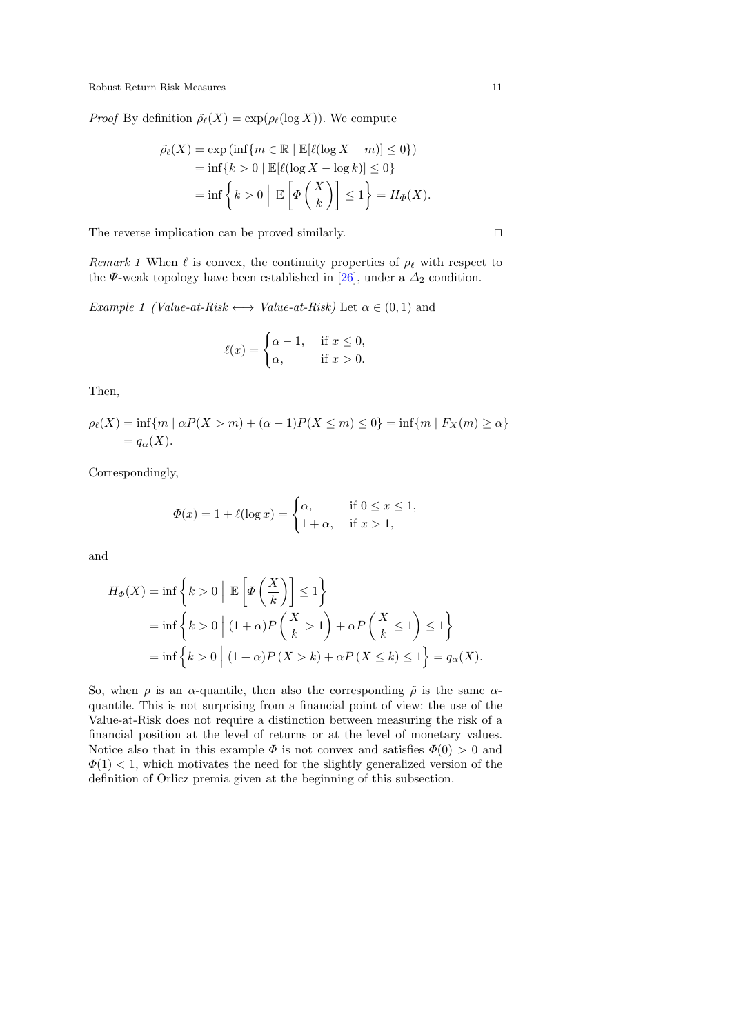*Proof* By definition  $\rho_{\ell}(X) = \exp(\rho_{\ell}(\log X))$ . We compute

$$
\tilde{\rho}_{\ell}(X) = \exp\left(\inf\{m \in \mathbb{R} \mid \mathbb{E}[\ell(\log X - m)] \le 0\}\right)
$$
  
= 
$$
\inf\{k > 0 \mid \mathbb{E}[\ell(\log X - \log k)] \le 0\}
$$
  
= 
$$
\inf\left\{k > 0 \mid \mathbb{E}\left[\Phi\left(\frac{X}{k}\right)\right] \le 1\right\} = H_{\Phi}(X).
$$

The reverse implication can be proved similarly.  $\square$ 

Remark 1 When  $\ell$  is convex, the continuity properties of  $\rho_{\ell}$  with respect to the  $\Psi$ -weak topology have been established in [\[26\]](#page-32-13), under a  $\Delta_2$  condition.

<span id="page-10-0"></span>Example 1 (Value-at-Risk  $\longleftrightarrow$  Value-at-Risk) Let  $\alpha \in (0,1)$  and

$$
\ell(x) = \begin{cases} \alpha - 1, & \text{if } x \le 0, \\ \alpha, & \text{if } x > 0. \end{cases}
$$

Then,

$$
\rho_{\ell}(X) = \inf \{ m \mid \alpha P(X > m) + (\alpha - 1)P(X \le m) \le 0 \} = \inf \{ m \mid F_X(m) \ge \alpha \}
$$
  
=  $q_{\alpha}(X)$ .

Correspondingly,

$$
\Phi(x) = 1 + \ell(\log x) = \begin{cases} \alpha, & \text{if } 0 \le x \le 1, \\ 1 + \alpha, & \text{if } x > 1, \end{cases}
$$

and

$$
H_{\Phi}(X) = \inf \left\{ k > 0 \mid \mathbb{E} \left[ \Phi \left( \frac{X}{k} \right) \right] \le 1 \right\}
$$
\n
$$
= \inf \left\{ k > 0 \mid (1 + \alpha) P \left( \frac{X}{k} > 1 \right) + \alpha P \left( \frac{X}{k} \le 1 \right) \le 1 \right\}
$$
\n
$$
= \inf \left\{ k > 0 \mid (1 + \alpha) P \left( X > k \right) + \alpha P \left( X \le k \right) \le 1 \right\} = q_{\alpha}(X).
$$

<span id="page-10-1"></span>So, when  $\rho$  is an  $\alpha$ -quantile, then also the corresponding  $\tilde{\rho}$  is the same  $\alpha$ quantile. This is not surprising from a financial point of view: the use of the Value-at-Risk does not require a distinction between measuring the risk of a financial position at the level of returns or at the level of monetary values. Notice also that in this example  $\Phi$  is not convex and satisfies  $\Phi(0) > 0$  and  $\Phi(1)$  < 1, which motivates the need for the slightly generalized version of the definition of Orlicz premia given at the beginning of this subsection.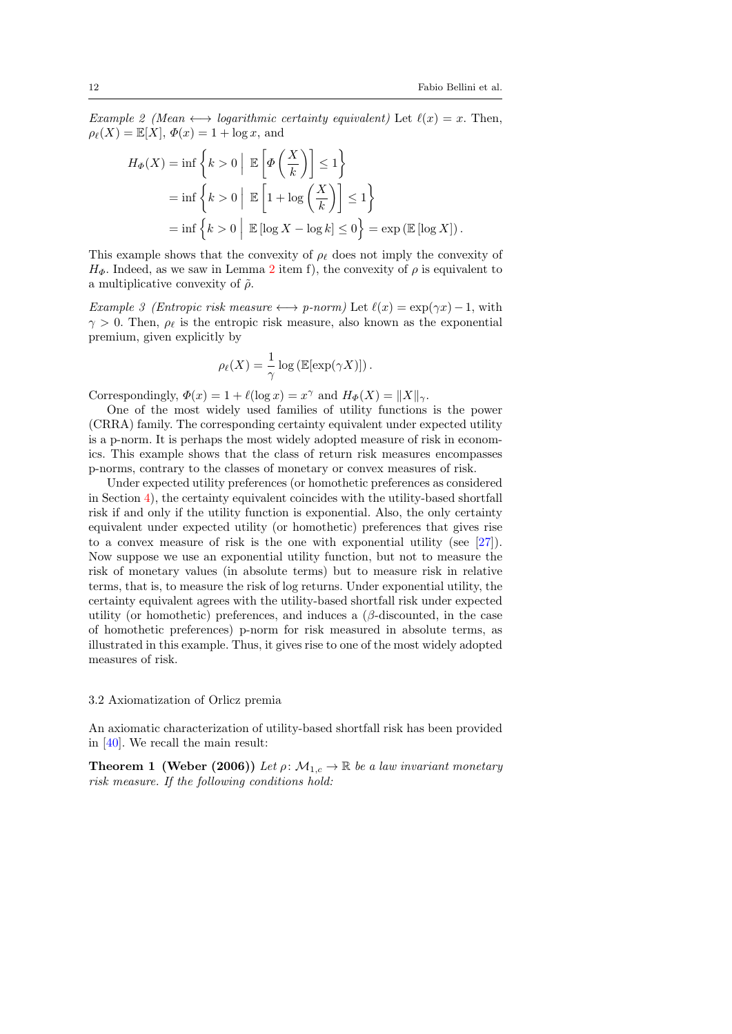Example 2 (Mean  $\longleftrightarrow$  logarithmic certainty equivalent) Let  $\ell(x) = x$ . Then,  $\rho_{\ell}(X) = \mathbb{E}[X], \varPhi(x) = 1 + \log x$ , and

$$
H_{\Phi}(X) = \inf \left\{ k > 0 \mid \mathbb{E} \left[ \Phi \left( \frac{X}{k} \right) \right] \le 1 \right\}
$$
  
=  $\inf \left\{ k > 0 \mid \mathbb{E} \left[ 1 + \log \left( \frac{X}{k} \right) \right] \le 1 \right\}$   
=  $\inf \left\{ k > 0 \mid \mathbb{E} [\log X - \log k] \le 0 \right\} = \exp \left( \mathbb{E} [\log X] \right).$ 

This example shows that the convexity of  $\rho_{\ell}$  does not imply the convexity of  $H_{\Phi}$ . Indeed, as we saw in Lemma [2](#page-6-5) item f), the convexity of  $\rho$  is equivalent to a multiplicative convexity of  $\tilde{\rho}$ .

<span id="page-11-0"></span>Example 3 (Entropic risk measure  $\longleftrightarrow$  p-norm) Let  $\ell(x) = \exp(\gamma x) - 1$ , with  $\gamma > 0$ . Then,  $\rho_{\ell}$  is the entropic risk measure, also known as the exponential premium, given explicitly by

$$
\rho_{\ell}(X) = \frac{1}{\gamma} \log \left( \mathbb{E}[\exp(\gamma X)] \right).
$$

Correspondingly,  $\Phi(x) = 1 + \ell(\log x) = x^{\gamma}$  and  $H_{\Phi}(X) = ||X||_{\gamma}$ .

One of the most widely used families of utility functions is the power (CRRA) family. The corresponding certainty equivalent under expected utility is a p-norm. It is perhaps the most widely adopted measure of risk in economics. This example shows that the class of return risk measures encompasses p-norms, contrary to the classes of monetary or convex measures of risk.

Under expected utility preferences (or homothetic preferences as considered in Section [4\)](#page-13-0), the certainty equivalent coincides with the utility-based shortfall risk if and only if the utility function is exponential. Also, the only certainty equivalent under expected utility (or homothetic) preferences that gives rise to a convex measure of risk is the one with exponential utility (see [\[27\]](#page-32-7)). Now suppose we use an exponential utility function, but not to measure the risk of monetary values (in absolute terms) but to measure risk in relative terms, that is, to measure the risk of log returns. Under exponential utility, the certainty equivalent agrees with the utility-based shortfall risk under expected utility (or homothetic) preferences, and induces a  $(\beta$ -discounted, in the case of homothetic preferences) p-norm for risk measured in absolute terms, as illustrated in this example. Thus, it gives rise to one of the most widely adopted measures of risk.

#### 3.2 Axiomatization of Orlicz premia

An axiomatic characterization of utility-based shortfall risk has been provided in [\[40\]](#page-32-0). We recall the main result:

<span id="page-11-1"></span>**Theorem 1 (Weber (2006))** Let  $\rho: \mathcal{M}_{1,c} \to \mathbb{R}$  be a law invariant monetary risk measure. If the following conditions hold: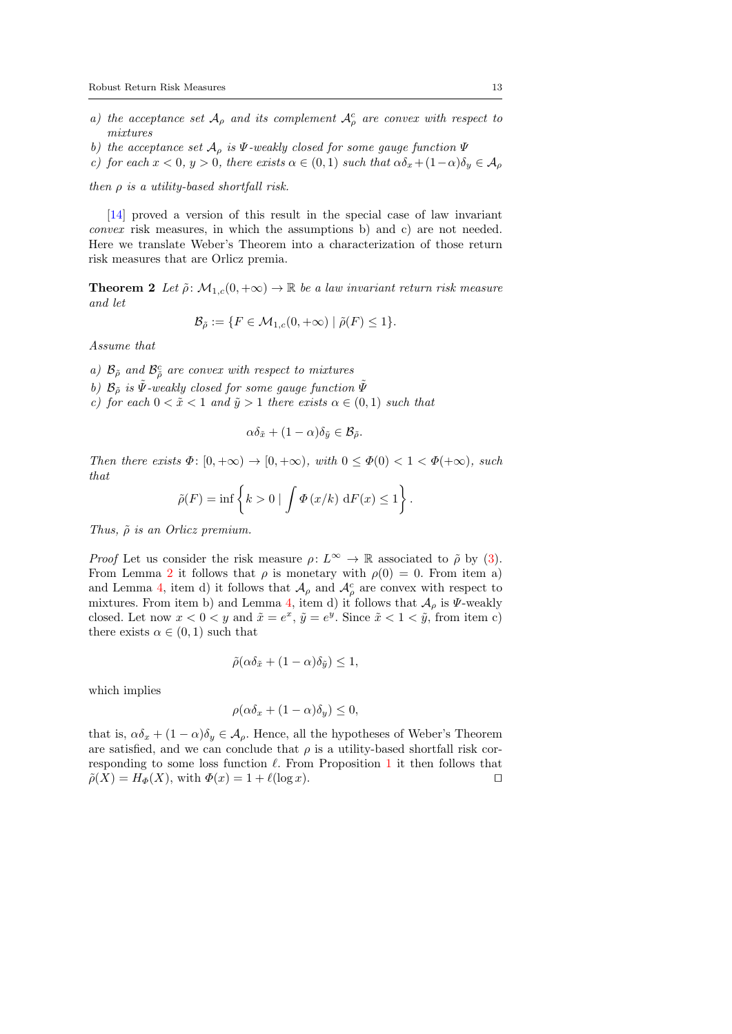- a) the acceptance set  $\mathcal{A}_{\rho}$  and its complement  $\mathcal{A}_{\rho}^{c}$  are convex with respect to mixtures
- b) the acceptance set  $\mathcal{A}_{\rho}$  is  $\Psi$ -weakly closed for some gauge function  $\Psi$
- c) for each  $x < 0$ ,  $y > 0$ , there exists  $\alpha \in (0,1)$  such that  $\alpha \delta_x + (1-\alpha)\delta_y \in A_\rho$

then  $\rho$  is a utility-based shortfall risk.

[\[14\]](#page-31-12) proved a version of this result in the special case of law invariant convex risk measures, in which the assumptions b) and c) are not needed. Here we translate Weber's Theorem into a characterization of those return risk measures that are Orlicz premia.

**Theorem 2** Let  $\tilde{\rho}$ :  $\mathcal{M}_{1,c}(0, +\infty) \to \mathbb{R}$  be a law invariant return risk measure and let

$$
\mathcal{B}_{\tilde{\rho}} := \{ F \in \mathcal{M}_{1,c}(0, +\infty) \mid \tilde{\rho}(F) \le 1 \}.
$$

Assume that

a)  $\mathcal{B}_{\tilde{\rho}}$  and  $\mathcal{B}_{\tilde{\rho}}^c$  are convex with respect to mixtures

b)  $\mathcal{B}_{\tilde{\rho}}$  is  $\tilde{\Psi}$ -weakly closed for some gauge function  $\tilde{\Psi}$ 

c) for each  $0 < \tilde{x} < 1$  and  $\tilde{y} > 1$  there exists  $\alpha \in (0, 1)$  such that

$$
\alpha \delta_{\tilde{x}} + (1 - \alpha) \delta_{\tilde{y}} \in \mathcal{B}_{\tilde{\rho}}.
$$

Then there exists  $\Phi: [0, +\infty) \to [0, +\infty)$ , with  $0 \leq \Phi(0) < 1 < \Phi(+\infty)$ , such that

$$
\tilde{\rho}(F) = \inf \left\{ k > 0 \mid \int \Phi(x/k) \, dF(x) \le 1 \right\}.
$$

Thus,  $\tilde{\rho}$  is an Orlicz premium.

*Proof* Let us consider the risk measure  $\rho: L^{\infty} \to \mathbb{R}$  associated to  $\tilde{\rho}$  by [\(3\)](#page-6-1). From Lemma [2](#page-6-5) it follows that  $\rho$  is monetary with  $\rho(0) = 0$ . From item a) and Lemma [4,](#page-7-0) item d) it follows that  $\mathcal{A}_{\rho}$  and  $\mathcal{A}_{\rho}^{c}$  are convex with respect to mixtures. From item b) and Lemma [4,](#page-7-0) item d) it follows that  $\mathcal{A}_{\rho}$  is  $\Psi$ -weakly closed. Let now  $x < 0 < y$  and  $\tilde{x} = e^x$ ,  $\tilde{y} = e^y$ . Since  $\tilde{x} < 1 < \tilde{y}$ , from item c) there exists  $\alpha \in (0,1)$  such that

$$
\tilde{\rho}(\alpha \delta_{\tilde{x}} + (1 - \alpha)\delta_{\tilde{y}}) \le 1,
$$

which implies

$$
\rho(\alpha \delta_x + (1 - \alpha)\delta_y) \le 0,
$$

that is,  $\alpha \delta_x + (1 - \alpha) \delta_y \in A_\rho$ . Hence, all the hypotheses of Weber's Theorem are satisfied, and we can conclude that  $\rho$  is a utility-based shortfall risk corresponding to some loss function  $\ell$ . From Proposition [1](#page-9-1) it then follows that  $\tilde{\rho}(X) = H_{\Phi}(X)$ , with  $\Phi(x) = 1 + \ell(\log x)$ .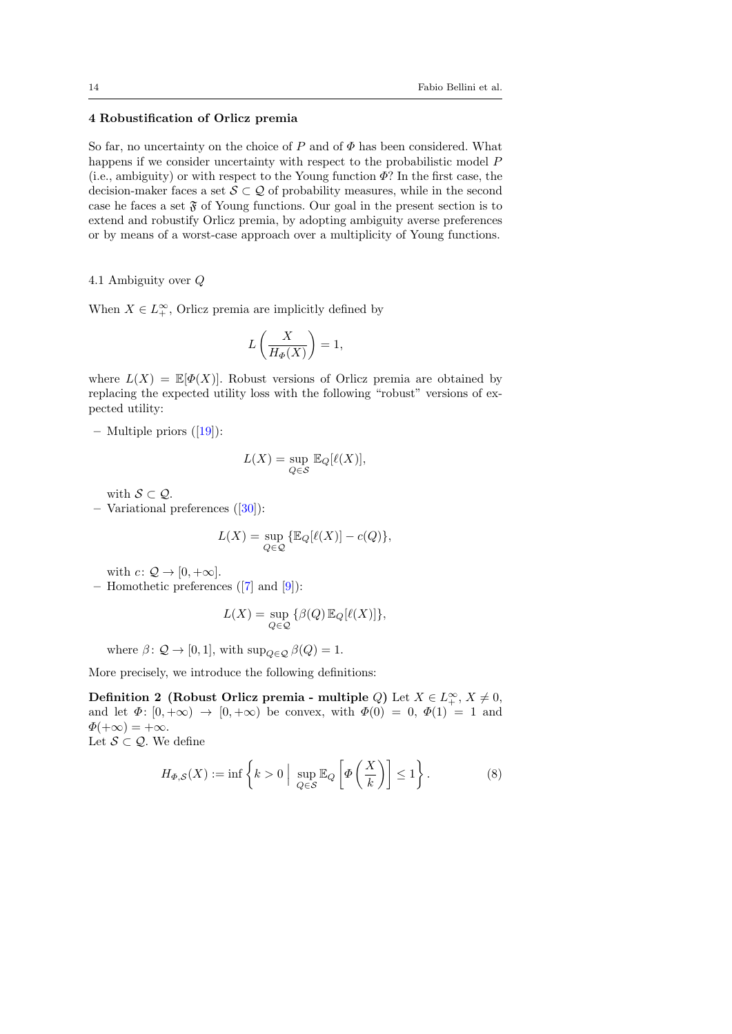## <span id="page-13-0"></span>4 Robustification of Orlicz premia

So far, no uncertainty on the choice of  $P$  and of  $\Phi$  has been considered. What happens if we consider uncertainty with respect to the probabilistic model P (i.e., ambiguity) or with respect to the Young function  $\Phi$ ? In the first case, the decision-maker faces a set  $S \subset \mathcal{Q}$  of probability measures, while in the second case he faces a set  $\mathfrak F$  of Young functions. Our goal in the present section is to extend and robustify Orlicz premia, by adopting ambiguity averse preferences or by means of a worst-case approach over a multiplicity of Young functions.

4.1 Ambiguity over Q

When  $X \in L_+^{\infty}$ , Orlicz premia are implicitly defined by

$$
L\left(\frac{X}{H_{\Phi}(X)}\right) = 1,
$$

where  $L(X) = \mathbb{E}[\Phi(X)]$ . Robust versions of Orlicz premia are obtained by replacing the expected utility loss with the following "robust" versions of expected utility:

– Multiple priors  $([19])$  $([19])$  $([19])$ :

$$
L(X)=\sup_{Q\in\mathcal{S}}\,\mathbb{E}_Q[\ell(X)],
$$

with  $S \subset \mathcal{Q}$ .

– Variational preferences ([\[30\]](#page-32-2)):

$$
L(X) = \sup_{Q \in \mathcal{Q}} \{ \mathbb{E}_Q [\ell(X)] - c(Q) \},\
$$

with  $c: \mathcal{Q} \to [0, +\infty]$ .

– Homothetic preferences ([\[7\]](#page-31-13) and [\[9\]](#page-31-3)):

<span id="page-13-2"></span>
$$
L(X) = \sup_{Q \in \mathcal{Q}} \{ \beta(Q) \, \mathbb{E}_Q[\ell(X)] \},
$$

where  $\beta$ :  $\mathcal{Q} \to [0, 1]$ , with sup<sub>Q∈Q</sub>  $\beta(Q) = 1$ .

More precisely, we introduce the following definitions:

Definition 2 (Robust Orlicz premia - multiple Q) Let  $X \in L_+^{\infty}$ ,  $X \neq 0$ , and let  $\Phi: [0, +\infty) \to [0, +\infty)$  be convex, with  $\Phi(0) = 0, \Phi(1) = 1$  and  $\Phi(+\infty) = +\infty.$ Let  $S \subset \mathcal{Q}$ . We define

<span id="page-13-1"></span>
$$
H_{\Phi,S}(X) := \inf \left\{ k > 0 \; \Big| \; \sup_{Q \in S} \mathbb{E}_Q \left[ \Phi \left( \frac{X}{k} \right) \right] \le 1 \right\}.
$$
 (8)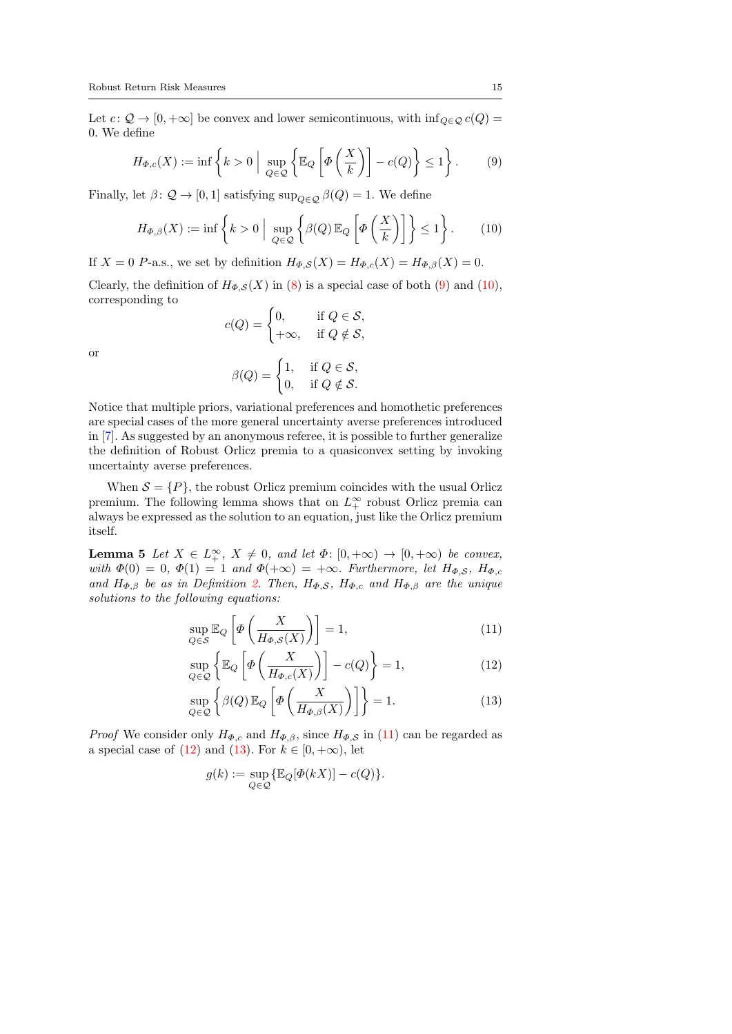Let  $c: \mathcal{Q} \to [0, +\infty]$  be convex and lower semicontinuous, with  $\inf_{Q \in \mathcal{Q}} c(Q) =$ 0. We define

<span id="page-14-0"></span>
$$
H_{\Phi,c}(X) := \inf \left\{ k > 0 \; \Big| \; \sup_{Q \in \mathcal{Q}} \left\{ \mathbb{E}_Q \left[ \Phi\left(\frac{X}{k}\right) \right] - c(Q) \right\} \le 1 \right\}. \tag{9}
$$

Finally, let  $\beta$ :  $\mathcal{Q} \to [0, 1]$  satisfying sup $_{Q \in \mathcal{Q}} \beta(Q) = 1$ . We define

<span id="page-14-1"></span>
$$
H_{\Phi,\beta}(X) := \inf \left\{ k > 0 \; \Big| \; \sup_{Q \in \mathcal{Q}} \left\{ \beta(Q) \, \mathbb{E}_Q \left[ \Phi\left(\frac{X}{k}\right) \right] \right\} \le 1 \right\}. \tag{10}
$$

If  $X = 0$  P-a.s., we set by definition  $H_{\Phi,S}(X) = H_{\Phi,c}(X) = H_{\Phi,\beta}(X) = 0$ .

Clearly, the definition of  $H_{\Phi,S}(X)$  in [\(8\)](#page-13-1) is a special case of both [\(9\)](#page-14-0) and [\(10\)](#page-14-1), corresponding to

$$
c(Q) = \begin{cases} 0, & \text{if } Q \in \mathcal{S}, \\ +\infty, & \text{if } Q \notin \mathcal{S}, \end{cases}
$$

or

$$
\beta(Q) = \begin{cases} 1, & \text{if } Q \in \mathcal{S}, \\ 0, & \text{if } Q \notin \mathcal{S}. \end{cases}
$$

Notice that multiple priors, variational preferences and homothetic preferences are special cases of the more general uncertainty averse preferences introduced in [\[7\]](#page-31-13). As suggested by an anonymous referee, it is possible to further generalize the definition of Robust Orlicz premia to a quasiconvex setting by invoking uncertainty averse preferences.

When  $S = \{P\}$ , the robust Orlicz premium coincides with the usual Orlicz premium. The following lemma shows that on  $L_+^{\infty}$  robust Orlicz premia can always be expressed as the solution to an equation, just like the Orlicz premium itself.

<span id="page-14-5"></span>**Lemma 5** Let  $X \in L_+^{\infty}$ ,  $X \neq 0$ , and let  $\Phi: [0, +\infty) \to [0, +\infty)$  be convex, with  $\Phi(0) = 0$ ,  $\Phi(1) = 1$  and  $\Phi(+\infty) = +\infty$ . Furthermore, let  $H_{\Phi,S}$ ,  $H_{\Phi,c}$ and  $H_{\Phi,\beta}$  be as in Definition [2.](#page-13-2) Then,  $H_{\Phi,S}$ ,  $H_{\Phi,c}$  and  $H_{\Phi,\beta}$  are the unique solutions to the following equations:

<span id="page-14-2"></span>
$$
\sup_{Q \in S} \mathbb{E}_Q \left[ \Phi \left( \frac{X}{H_{\Phi,S}(X)} \right) \right] = 1,\tag{11}
$$

<span id="page-14-3"></span>
$$
\sup_{Q \in \mathcal{Q}} \left\{ \mathbb{E}_Q \left[ \Phi \left( \frac{X}{H_{\Phi,c}(X)} \right) \right] - c(Q) \right\} = 1,\tag{12}
$$

$$
\sup_{Q \in \mathcal{Q}} \left\{ \beta(Q) \, \mathbb{E}_Q \left[ \varPhi \left( \frac{X}{H_{\varPhi, \beta}(X)} \right) \right] \right\} = 1. \tag{13}
$$

*Proof* We consider only  $H_{\Phi,c}$  and  $H_{\Phi,\beta}$ , since  $H_{\Phi,\mathcal{S}}$  in [\(11\)](#page-14-2) can be regarded as a special case of [\(12\)](#page-14-3) and [\(13\)](#page-14-4). For  $k \in [0, +\infty)$ , let

<span id="page-14-4"></span>
$$
g(k) := \sup_{Q \in \mathcal{Q}} \{ \mathbb{E}_Q[\Phi(kX)] - c(Q) \}.
$$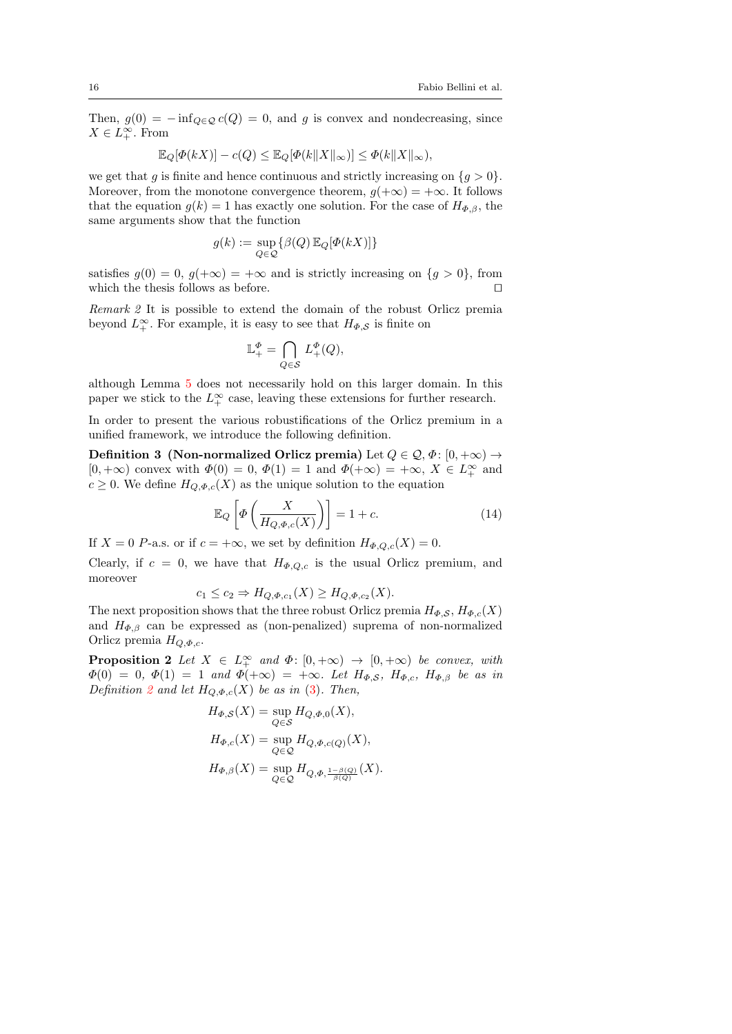Then,  $g(0) = -\inf_{Q \in \mathcal{Q}} c(Q) = 0$ , and g is convex and nondecreasing, since  $X \in L_+^{\infty}$ . From

$$
\mathbb{E}_Q[\Phi(kX)] - c(Q) \le \mathbb{E}_Q[\Phi(k||X||_{\infty})] \le \Phi(k||X||_{\infty}),
$$

we get that g is finite and hence continuous and strictly increasing on  $\{g > 0\}$ . Moreover, from the monotone convergence theorem,  $g(+\infty) = +\infty$ . It follows that the equation  $g(k) = 1$  has exactly one solution. For the case of  $H_{\Phi, \beta}$ , the same arguments show that the function

$$
g(k) := \sup_{Q \in \mathcal{Q}} \{ \beta(Q) \, \mathbb{E}_Q[\Phi(kX)] \}
$$

satisfies  $g(0) = 0$ ,  $g(+\infty) = +\infty$  and is strictly increasing on  $\{g > 0\}$ , from which the thesis follows as before.

Remark 2 It is possible to extend the domain of the robust Orlicz premia beyond  $L^{\infty}_+$ . For example, it is easy to see that  $H_{\Phi,S}$  is finite on

<span id="page-15-0"></span>
$$
\mathbb{L}^\varPhi_+=\bigcap_{Q\in\mathcal{S}}\,L^\varPhi_+(Q),
$$

although Lemma [5](#page-14-5) does not necessarily hold on this larger domain. In this paper we stick to the  $L_+^{\infty}$  case, leaving these extensions for further research.

In order to present the various robustifications of the Orlicz premium in a unified framework, we introduce the following definition.

Definition 3 (Non-normalized Orlicz premia) Let  $Q \in \mathcal{Q}, \Phi$ :  $[0, +\infty) \rightarrow$  $[0, +\infty)$  convex with  $\Phi(0) = 0$ ,  $\Phi(1) = 1$  and  $\Phi(+\infty) = +\infty$ ,  $X \in L^{\infty}_+$  and  $c \geq 0$ . We define  $H_{Q,\Phi,c}(X)$  as the unique solution to the equation

<span id="page-15-2"></span>
$$
\mathbb{E}_Q\left[\Phi\left(\frac{X}{H_{Q,\Phi,c}(X)}\right)\right] = 1 + c.\tag{14}
$$

If  $X = 0$  P-a.s. or if  $c = +\infty$ , we set by definition  $H_{\Phi,Q,c}(X) = 0$ .

Clearly, if  $c = 0$ , we have that  $H_{\Phi,Q,c}$  is the usual Orlicz premium, and moreover

<span id="page-15-1"></span>
$$
c_1 \leq c_2 \Rightarrow H_{Q,\Phi,c_1}(X) \geq H_{Q,\Phi,c_2}(X).
$$

The next proposition shows that the three robust Orlicz premia  $H_{\Phi,S}$ ,  $H_{\Phi,c}(X)$ and  $H_{\Phi,\beta}$  can be expressed as (non-penalized) suprema of non-normalized Orlicz premia  $H_{Q,\Phi,c}$ .

**Proposition 2** Let  $X \in L^{\infty}_+$  and  $\Phi: [0, +\infty) \to [0, +\infty)$  be convex, with  $\Phi(0) = 0, \Phi(1) = 1$  and  $\Phi(+\infty) = +\infty$ . Let  $H_{\Phi,S}$ ,  $H_{\Phi,c}$ ,  $H_{\Phi,\beta}$  be as in Definition [2](#page-13-2) and let  $H_{Q,\Phi,c}(X)$  be as in [\(3\)](#page-15-0). Then,

$$
H_{\Phi,S}(X) = \sup_{Q \in S} H_{Q,\Phi,0}(X),
$$
  
\n
$$
H_{\Phi,c}(X) = \sup_{Q \in \mathcal{Q}} H_{Q,\Phi,c(Q)}(X),
$$
  
\n
$$
H_{\Phi,\beta}(X) = \sup_{Q \in \mathcal{Q}} H_{Q,\Phi,\frac{1-\beta(Q)}{\beta(Q)}}(X).
$$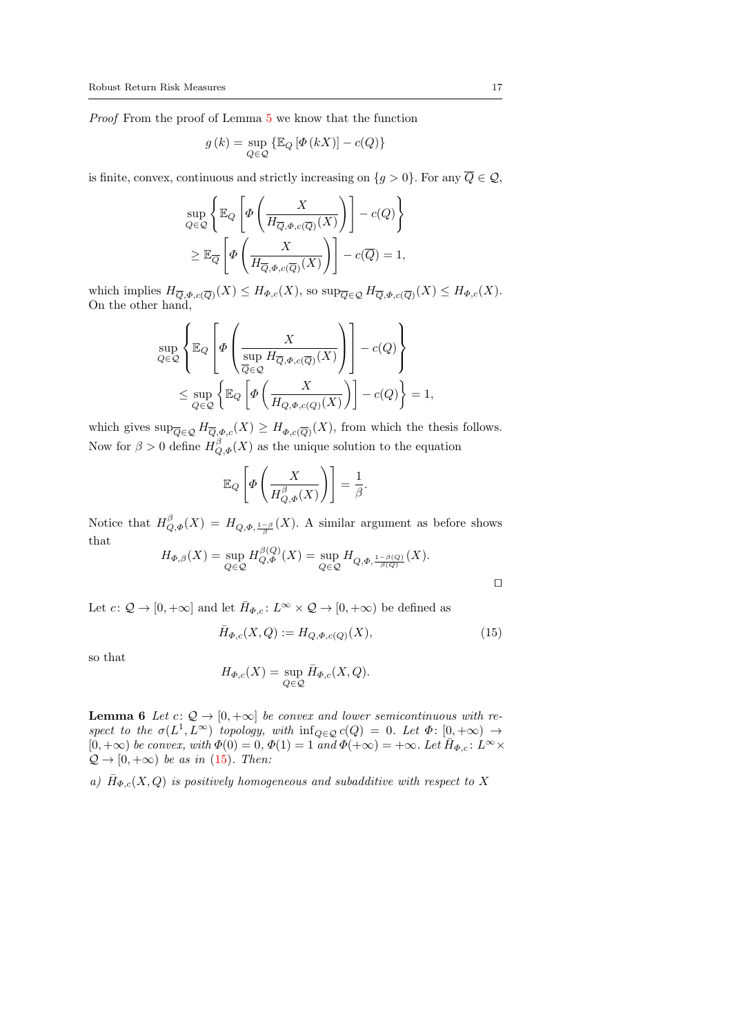Proof From the proof of Lemma [5](#page-14-5) we know that the function

$$
g(k) = \sup_{Q \in \mathcal{Q}} \{ \mathbb{E}_Q \left[ \Phi(kX) \right] - c(Q) \}
$$

is finite, convex, continuous and strictly increasing on  $\{g > 0\}$ . For any  $\overline{Q} \in \mathcal{Q}$ ,

$$
\sup_{Q \in \mathcal{Q}} \left\{ \mathbb{E}_Q \left[ \varPhi \left( \frac{X}{H_{\overline{Q}, \varPhi, c(\overline{Q})}(X)} \right) \right] - c(Q) \right\} \n\geq \mathbb{E}_{\overline{Q}} \left[ \varPhi \left( \frac{X}{H_{\overline{Q}, \varPhi, c(\overline{Q})}(X)} \right) \right] - c(\overline{Q}) = 1,
$$

which implies  $H_{\overline{Q}, \Phi, c(\overline{Q})}(X) \leq H_{\Phi, c}(X)$ , so  $\sup_{\overline{Q} \in \mathcal{Q}} H_{\overline{Q}, \Phi, c(\overline{Q})}(X) \leq H_{\Phi, c}(X)$ . On the other hand,

$$
\sup_{Q \in \mathcal{Q}} \left\{ \mathbb{E}_Q \left[ \Phi \left( \frac{X}{\sup_{\overline{Q} \in \mathcal{Q}} H_{\overline{Q}, \Phi, c(\overline{Q})}(X)} \right) \right] - c(Q) \right\} \n\leq \sup_{Q \in \mathcal{Q}} \left\{ \mathbb{E}_Q \left[ \Phi \left( \frac{X}{H_{Q, \Phi, c(Q)}(X)} \right) \right] - c(Q) \right\} = 1,
$$

which gives  $\sup_{\overline{Q}\in\mathcal{Q}} H_{\overline{Q},\Phi,c}(X) \geq H_{\Phi,c}(\overline{Q})}(X)$ , from which the thesis follows. Now for  $\beta > 0$  define  $H_{Q,\Phi}^{\beta}(X)$  as the unique solution to the equation

$$
\mathbb{E}_Q\left[\Phi\left(\frac{X}{H_{Q,\Phi}^{\beta}(X)}\right)\right] = \frac{1}{\beta}
$$

Notice that  $H^{\beta}_{Q,\Phi}(X) = H_{Q,\Phi,\frac{1-\beta}{\beta}}(X)$ . A similar argument as before shows that

$$
H_{\Phi,\beta}(X) = \sup_{Q \in \mathcal{Q}} H_{Q,\Phi}^{\beta(Q)}(X) = \sup_{Q \in \mathcal{Q}} H_{Q,\Phi,\frac{1-\beta(Q)}{\beta(Q)}}(X).
$$

Let  $c: \mathcal{Q} \to [0, +\infty]$  and let  $\bar{H}_{\Phi,c}: L^{\infty} \times \mathcal{Q} \to [0, +\infty)$  be defined as

<span id="page-16-0"></span>
$$
\bar{H}_{\Phi,c}(X,Q) := H_{Q,\Phi,c(Q)}(X),\tag{15}
$$

.

so that

$$
H_{\Phi,c}(X) = \sup_{Q \in \mathcal{Q}} \bar{H}_{\Phi,c}(X,Q).
$$

<span id="page-16-1"></span>**Lemma 6** Let  $c: \mathcal{Q} \to [0, +\infty]$  be convex and lower semicontinuous with respect to the  $\sigma(L^1, L^{\infty})$  topology, with  $\inf_{Q \in \mathcal{Q}} c(Q) = 0$ . Let  $\Phi: [0, +\infty) \to$  $[0, +\infty)$  be convex, with  $\Phi(0) = 0$ ,  $\Phi(1) = 1$  and  $\Phi(+\infty) = +\infty$ . Let  $\bar{H}_{\Phi,c}: L^{\infty} \times$  $\mathcal{Q} \rightarrow [0, +\infty)$  be as in [\(15\)](#page-16-0). Then:

a)  $\bar{H}_{\Phi,c}(X,Q)$  is positively homogeneous and subadditive with respect to X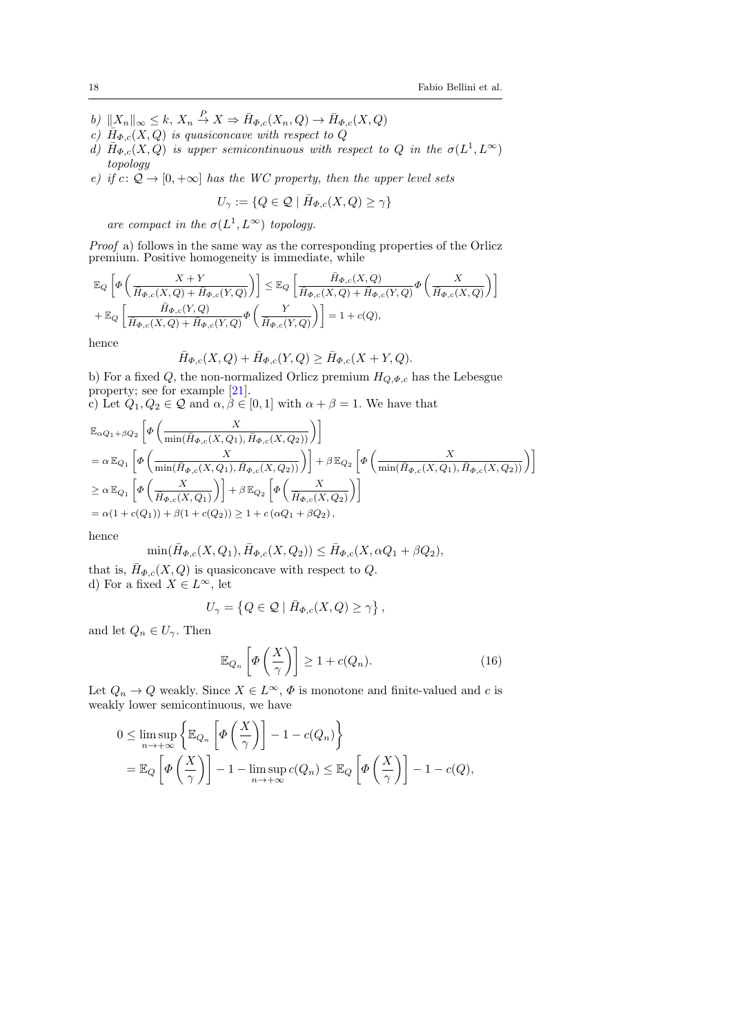- b)  $||X_n||_{\infty} \leq k$ ,  $X_n \stackrel{P}{\to} X \Rightarrow \bar{H}_{\Phi,c}(X_n, Q) \to \bar{H}_{\Phi,c}(X, Q)$
- c)  $\overline{H}_{\Phi,c}(X,Q)$  is quasiconcave with respect to  $Q$
- d)  $\bar{H}_{\Phi,c}(X,Q)$  is upper semicontinuous with respect to Q in the  $\sigma(L^1,L^{\infty})$ topology
- e) if  $c: \mathcal{Q} \to [0, +\infty]$  has the WC property, then the upper level sets

$$
U_{\gamma} := \{ Q \in \mathcal{Q} \mid \bar{H}_{\Phi,c}(X,Q) \ge \gamma \}
$$

are compact in the  $\sigma(L^1, L^{\infty})$  topology.

Proof a) follows in the same way as the corresponding properties of the Orlicz premium. Positive homogeneity is immediate, while

$$
\label{eq:21} \begin{aligned} &\mathbb{E}_Q\left[\varPhi\left(\frac{X+Y}{\bar{H}_{\varPhi,c}(X,Q)+\bar{H}_{\varPhi,c}(Y,Q)}\right)\right]\leq \mathbb{E}_Q\left[\frac{\bar{H}_{\varPhi,c}(X,Q)}{\bar{H}_{\varPhi,c}(X,Q)+\bar{H}_{\varPhi,c}(Y,Q)}\varPhi\left(\frac{X}{\bar{H}_{\varPhi,c}(X,Q)}\right)\right]\\ &+\mathbb{E}_Q\left[\frac{\bar{H}_{\varPhi,c}(Y,Q)}{\bar{H}_{\varPhi,c}(X,Q)+\bar{H}_{\varPhi,c}(Y,Q)}\varPhi\left(\frac{Y}{\bar{H}_{\varPhi,c}(Y,Q)}\right)\right]=1+c(Q), \end{aligned}
$$

hence

$$
\bar{H}_{\Phi,c}(X,Q) + \bar{H}_{\Phi,c}(Y,Q) \ge \bar{H}_{\Phi,c}(X+Y,Q).
$$

b) For a fixed Q, the non-normalized Orlicz premium  $H_{Q,\Phi,c}$  has the Lebesgue property; see for example [\[21\]](#page-31-7).

c) Let  $Q_1, Q_2 \in \mathcal{Q}$  and  $\alpha, \beta \in [0, 1]$  with  $\alpha + \beta = 1$ . We have that

$$
\label{eq:20} \begin{aligned} &\mathbb{E}_{\alpha Q_1+\beta Q_2}\left[\varPhi\left(\frac{X}{\min(\bar{H}_{\varPhi,c}(X,Q_1),\bar{H}_{\varPhi,c}(X,Q_2))}\right)\right]\\ &=\alpha\,\mathbb{E}_{Q_1}\left[\varPhi\left(\frac{X}{\min(\bar{H}_{\varPhi,c}(X,Q_1),\bar{H}_{\varPhi,c}(X,Q_2))}\right)\right]+\beta\,\mathbb{E}_{Q_2}\left[\varPhi\left(\frac{X}{\min(\bar{H}_{\varPhi,c}(X,Q_1),\bar{H}_{\varPhi,c}(X,Q_2))}\right)\right]\\ &\geq \alpha\,\mathbb{E}_{Q_1}\left[\varPhi\left(\frac{X}{\bar{H}_{\varPhi,c}(X,Q_1)}\right)\right]+\beta\,\mathbb{E}_{Q_2}\left[\varPhi\left(\frac{X}{\bar{H}_{\varPhi,c}(X,Q_2)}\right)\right]\\ &=\alpha(1+c(Q_1))+\beta(1+c(Q_2))\geq 1+c\left(\alpha Q_1+\beta Q_2\right), \end{aligned}
$$

hence

$$
\min(\bar{H}_{\Phi,c}(X,Q_1), \bar{H}_{\Phi,c}(X,Q_2)) \le \bar{H}_{\Phi,c}(X,\alpha Q_1 + \beta Q_2),
$$

that is,  $\bar{H}_{\Phi,c}(X,Q)$  is quasiconcave with respect to Q. d) For a fixed  $X \in L^{\infty}$ , let

$$
U_{\gamma} = \left\{ Q \in \mathcal{Q} \mid \bar{H}_{\Phi,c}(X,Q) \geq \gamma \right\},\,
$$

and let  $Q_n \in U_\gamma$ . Then

<span id="page-17-0"></span>
$$
\mathbb{E}_{Q_n}\left[\Phi\left(\frac{X}{\gamma}\right)\right] \ge 1 + c(Q_n). \tag{16}
$$

Let  $Q_n \to Q$  weakly. Since  $X \in L^{\infty}$ ,  $\Phi$  is monotone and finite-valued and c is weakly lower semicontinuous, we have

$$
0 \leq \limsup_{n \to +\infty} \left\{ \mathbb{E}_{Q_n} \left[ \Phi\left(\frac{X}{\gamma}\right) \right] - 1 - c(Q_n) \right\}
$$
  
=  $\mathbb{E}_Q \left[ \Phi\left(\frac{X}{\gamma}\right) \right] - 1 - \limsup_{n \to +\infty} c(Q_n) \leq \mathbb{E}_Q \left[ \Phi\left(\frac{X}{\gamma}\right) \right] - 1 - c(Q),$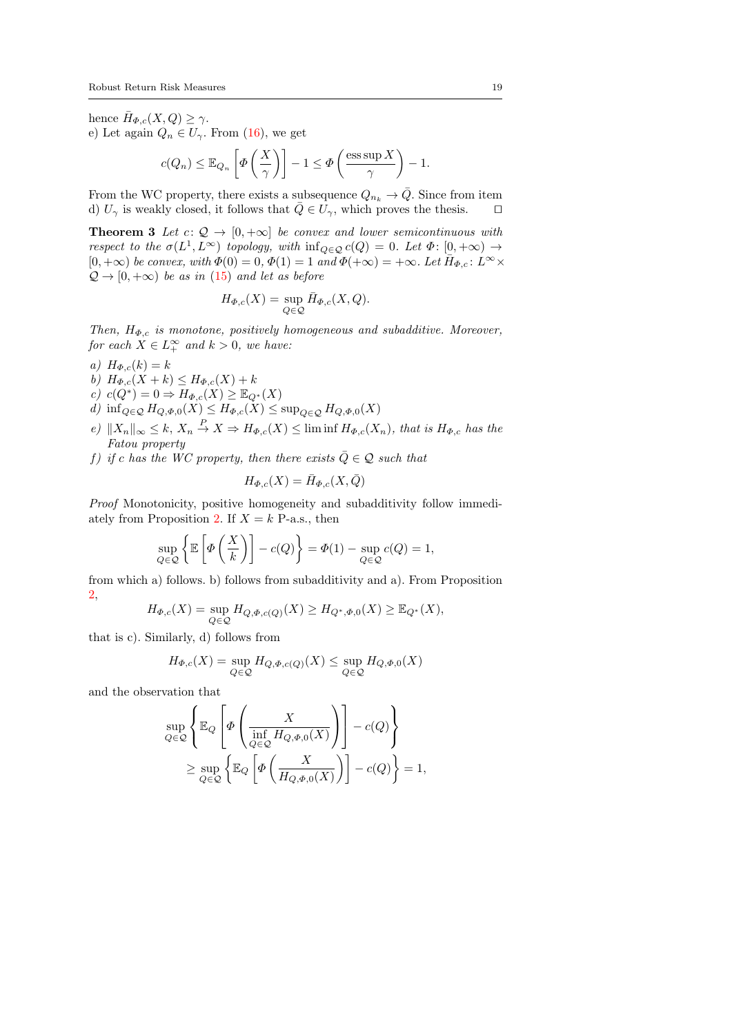hence  $\bar{H}_{\Phi,c}(X,Q) \geq \gamma$ . e) Let again  $Q_n \in U_\gamma$ . From [\(16\)](#page-17-0), we get

$$
c(Q_n) \leq \mathbb{E}_{Q_n}\left[\varPhi\left(\frac{X}{\gamma}\right)\right] - 1 \leq \varPhi\left(\frac{\operatorname{ess} \sup X}{\gamma}\right) - 1.
$$

From the WC property, there exists a subsequence  $Q_{n_k} \to \overline{Q}$ . Since from item d)  $U_{\gamma}$  is weakly closed, it follows that  $\overline{Q} \in U_{\gamma}$ , which proves the thesis.  $\Box$ 

<span id="page-18-0"></span>**Theorem 3** Let  $c: \mathcal{Q} \to [0, +\infty]$  be convex and lower semicontinuous with respect to the  $\sigma(L^1, L^{\infty})$  topology, with  $\inf_{Q \in \mathcal{Q}} c(Q) = 0$ . Let  $\Phi: [0, +\infty) \to$  $[0, +\infty)$  be convex, with  $\Phi(0) = 0$ ,  $\Phi(1) = 1$  and  $\Phi(+\infty) = +\infty$ . Let  $\bar{H}_{\Phi,c}$ :  $L^{\infty} \times$  $\mathcal{Q} \rightarrow [0, +\infty)$  be as in [\(15\)](#page-16-0) and let as before

$$
H_{\Phi,c}(X) = \sup_{Q \in \mathcal{Q}} \bar{H}_{\Phi,c}(X,Q).
$$

Then,  $H_{\Phi,c}$  is monotone, positively homogeneous and subadditive. Moreover, for each  $X \in L_+^{\infty}$  and  $k > 0$ , we have:

- a)  $H_{\Phi,c}(k) = k$
- b)  $H_{\Phi,c}(X + k) \leq H_{\Phi,c}(X) + k$
- c)  $c(Q^*) = 0 \Rightarrow H_{\Phi,c}(X) \geq \mathbb{E}_{Q^*}(X)$
- d) inf<sub>Q∈Q</sub>  $H_{Q,\Phi,0}(X) \leq H_{\Phi,c}(X) \leq \sup_{Q \in \mathcal{Q}} H_{Q,\Phi,0}(X)$
- e)  $||X_n||_{\infty} \leq k, X_n \stackrel{P}{\to} X \Rightarrow H_{\Phi,c}(X) \leq \liminf H_{\Phi,c}(X_n)$ , that is  $H_{\Phi,c}$  has the Fatou property
- f) if c has the WC property, then there exists  $\overline{Q} \in \mathcal{Q}$  such that

$$
H_{\Phi,c}(X) = \bar{H}_{\Phi,c}(X,\bar{Q})
$$

Proof Monotonicity, positive homogeneity and subadditivity follow immedi-ately from Proposition [2.](#page-15-1) If  $X = k$  P-a.s., then

$$
\sup_{Q \in \mathcal{Q}} \left\{ \mathbb{E} \left[ \Phi \left( \frac{X}{k} \right) \right] - c(Q) \right\} = \Phi(1) - \sup_{Q \in \mathcal{Q}} c(Q) = 1,
$$

from which a) follows. b) follows from subadditivity and a). From Proposition [2,](#page-15-1)

$$
H_{\Phi,c}(X) = \sup_{Q \in \mathcal{Q}} H_{Q,\Phi,c(Q)}(X) \ge H_{Q^*,\Phi,0}(X) \ge \mathbb{E}_{Q^*}(X),
$$

that is c). Similarly, d) follows from

$$
H_{\Phi,c}(X) = \sup_{Q \in \mathcal{Q}} H_{Q,\Phi,c(Q)}(X) \le \sup_{Q \in \mathcal{Q}} H_{Q,\Phi,0}(X)
$$

and the observation that

$$
\sup_{Q \in \mathcal{Q}} \left\{ \mathbb{E}_Q \left[ \varPhi \left( \frac{X}{\inf_{Q \in \mathcal{Q}} H_{Q, \varPhi, 0}(X)} \right) \right] - c(Q) \right\}
$$
  
 
$$
\geq \sup_{Q \in \mathcal{Q}} \left\{ \mathbb{E}_Q \left[ \varPhi \left( \frac{X}{H_{Q, \varPhi, 0}(X)} \right) \right] - c(Q) \right\} = 1,
$$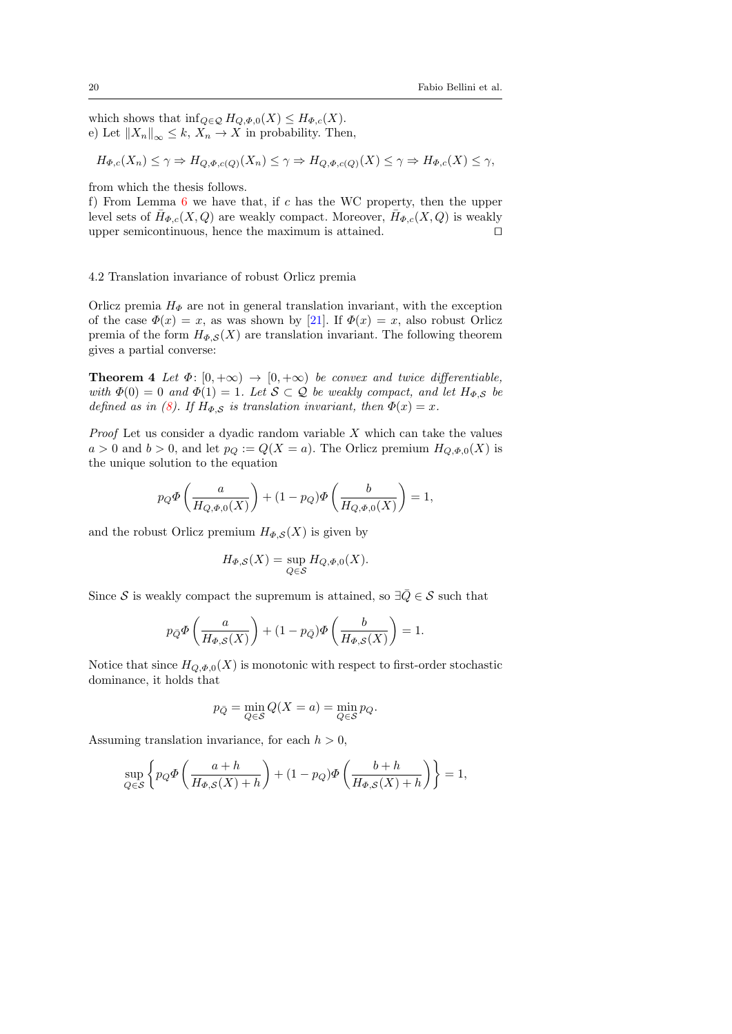which shows that  $\inf_{Q \in \mathcal{Q}} H_{Q,\Phi,0}(X) \leq H_{\Phi,c}(X)$ . e) Let  $||X_n||_{\infty} \leq k, X_n \to X$  in probability. Then,

$$
H_{\Phi,c}(X_n) \le \gamma \Rightarrow H_{Q,\Phi,c(Q)}(X_n) \le \gamma \Rightarrow H_{Q,\Phi,c(Q)}(X) \le \gamma \Rightarrow H_{\Phi,c}(X) \le \gamma,
$$

from which the thesis follows.

f) From Lemma  $6$  we have that, if c has the WC property, then the upper level sets of  $\bar{H}_{\Phi,c}(X,Q)$  are weakly compact. Moreover,  $\bar{H}_{\Phi,c}(X,Q)$  is weakly upper semicontinuous, hence the maximum is attained.  $\square$ 

#### 4.2 Translation invariance of robust Orlicz premia

Orlicz premia  $H_{\Phi}$  are not in general translation invariant, with the exception of the case  $\Phi(x) = x$ , as was shown by [\[21\]](#page-31-7). If  $\Phi(x) = x$ , also robust Orlicz premia of the form  $H_{\Phi,S}(X)$  are translation invariant. The following theorem gives a partial converse:

**Theorem 4** Let  $\Phi$ :  $[0, +\infty) \rightarrow [0, +\infty)$  be convex and twice differentiable, with  $\Phi(0) = 0$  and  $\Phi(1) = 1$ . Let  $S \subset \mathcal{Q}$  be weakly compact, and let  $H_{\Phi,S}$  be defined as in [\(8\)](#page-13-1). If  $H_{\Phi,S}$  is translation invariant, then  $\Phi(x) = x$ .

*Proof* Let us consider a dyadic random variable  $X$  which can take the values  $a > 0$  and  $b > 0$ , and let  $p_Q := Q(X = a)$ . The Orlicz premium  $H_{Q,\Phi,0}(X)$  is the unique solution to the equation

$$
p_Q \Phi\left(\frac{a}{H_{Q,\Phi,0}(X)}\right) + (1 - p_Q) \Phi\left(\frac{b}{H_{Q,\Phi,0}(X)}\right) = 1,
$$

and the robust Orlicz premium  $H_{\Phi,S}(X)$  is given by

$$
H_{\Phi,\mathcal{S}}(X) = \sup_{Q \in \mathcal{S}} H_{Q,\Phi,0}(X).
$$

Since S is weakly compact the supremum is attained, so  $\exists \bar{Q} \in \mathcal{S}$  such that

$$
p_{\bar{Q}}\Phi\left(\frac{a}{H_{\Phi,S}(X)}\right) + (1 - p_{\bar{Q}})\Phi\left(\frac{b}{H_{\Phi,S}(X)}\right) = 1.
$$

Notice that since  $H_{Q,\Phi,0}(X)$  is monotonic with respect to first-order stochastic dominance, it holds that

$$
p_{\bar{Q}} = \min_{Q \in \mathcal{S}} Q(X = a) = \min_{Q \in \mathcal{S}} p_Q.
$$

Assuming translation invariance, for each  $h > 0$ ,

$$
\sup_{Q \in \mathcal{S}} \left\{ p_Q \Phi \left( \frac{a+h}{H_{\Phi,\mathcal{S}}(X)+h} \right) + (1-p_Q) \Phi \left( \frac{b+h}{H_{\Phi,\mathcal{S}}(X)+h} \right) \right\} = 1,
$$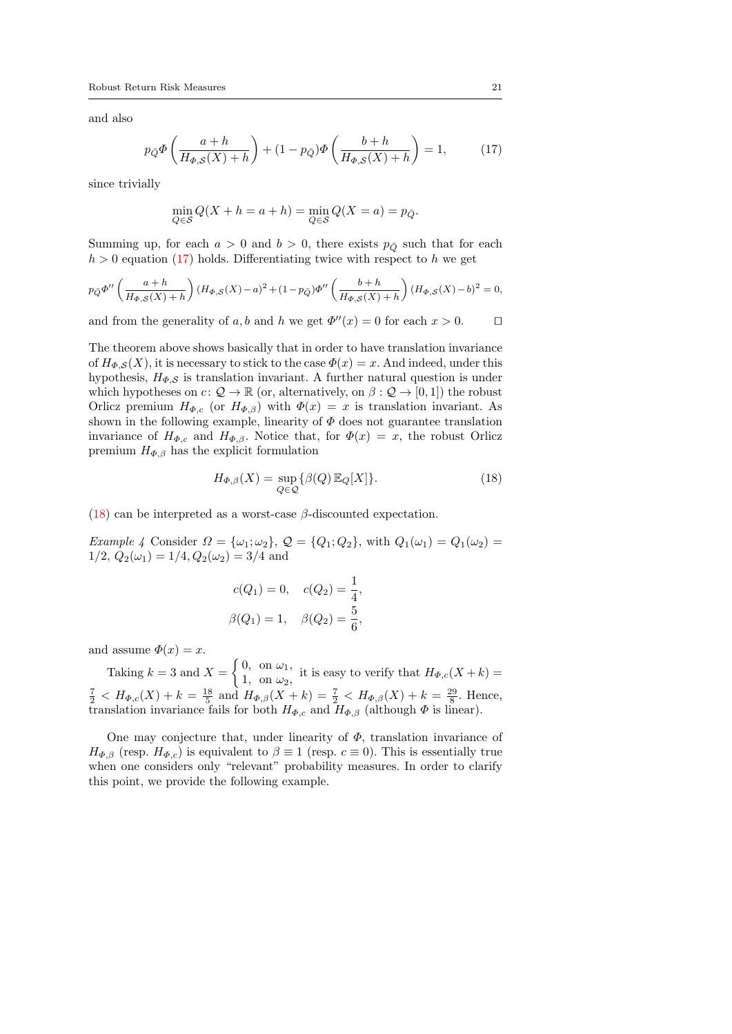and also

<span id="page-20-0"></span>
$$
p_{\bar{Q}}\Phi\left(\frac{a+h}{H_{\Phi,S}(X)+h}\right) + (1-p_{\bar{Q}})\Phi\left(\frac{b+h}{H_{\Phi,S}(X)+h}\right) = 1,\tag{17}
$$

since trivially

$$
\min_{Q \in \mathcal{S}} Q(X + h = a + h) = \min_{Q \in \mathcal{S}} Q(X = a) = p_{\bar{Q}}.
$$

Summing up, for each  $a > 0$  and  $b > 0$ , there exists  $p_{\overline{O}}$  such that for each  $h > 0$  equation [\(17\)](#page-20-0) holds. Differentiating twice with respect to h we get

$$
p_{\bar{Q}}\Phi''\left(\frac{a+h}{H_{\Phi,S}(X)+h}\right)(H_{\Phi,S}(X)-a)^2+(1-p_{\bar{Q}})\Phi''\left(\frac{b+h}{H_{\Phi,S}(X)+h}\right)(H_{\Phi,S}(X)-b)^2=0,
$$

and from the generality of a, b and h we get  $\Phi''(x) = 0$  for each  $x > 0$ .

The theorem above shows basically that in order to have translation invariance of  $H_{\Phi,S}(X)$ , it is necessary to stick to the case  $\Phi(x) = x$ . And indeed, under this hypothesis,  $H_{\Phi, \mathcal{S}}$  is translation invariant. A further natural question is under which hypotheses on  $c: \mathcal{Q} \to \mathbb{R}$  (or, alternatively, on  $\beta: \mathcal{Q} \to [0,1]$ ) the robust Orlicz premium  $H_{\Phi,c}$  (or  $H_{\Phi,\beta}$ ) with  $\Phi(x) = x$  is translation invariant. As shown in the following example, linearity of  $\Phi$  does not guarantee translation invariance of  $H_{\Phi,c}$  and  $H_{\Phi,\beta}$ . Notice that, for  $\Phi(x) = x$ , the robust Orlicz premium  $H_{\Phi,\beta}$  has the explicit formulation

<span id="page-20-1"></span>
$$
H_{\Phi,\beta}(X) = \sup_{Q \in \mathcal{Q}} \{ \beta(Q) \, \mathbb{E}_Q[X] \}. \tag{18}
$$

[\(18\)](#page-20-1) can be interpreted as a worst-case  $\beta$ -discounted expectation.

Example 4 Consider  $\Omega = {\omega_1;\omega_2}$ ,  $\mathcal{Q} = {Q_1;Q_2}$ , with  $Q_1(\omega_1) = Q_1(\omega_2) =$  $1/2, Q_2(\omega_1) = 1/4, Q_2(\omega_2) = 3/4$  and

$$
c(Q_1) = 0, \quad c(Q_2) = \frac{1}{4},
$$
  

$$
\beta(Q_1) = 1, \quad \beta(Q_2) = \frac{5}{6},
$$

and assume  $\Phi(x) = x$ .

Taking  $k = 3$  and  $X = \begin{cases} 0, & \text{on } \omega_1, \\ 1, & \text{on } \omega_2. \end{cases}$  $\alpha$ , on  $\omega_1$ , it is easy to verify that  $H_{\Phi,c}(X+k) =$ <br>1, on  $\omega_2$ ,  $\frac{7}{2}$  <  $H_{\Phi,c}(X) + k = \frac{18}{5}$  and  $H_{\Phi,\beta}(X + k) = \frac{7}{2}$  <  $H_{\Phi,\beta}(X) + k = \frac{29}{8}$ . Hence, translation invariance fails for both  $H_{\Phi,c}$  and  $H_{\Phi,\beta}$  (although  $\Phi$  is linear).

One may conjecture that, under linearity of  $\Phi$ , translation invariance of  $H_{\Phi,\beta}$  (resp.  $H_{\Phi,c}$ ) is equivalent to  $\beta \equiv 1$  (resp.  $c \equiv 0$ ). This is essentially true when one considers only "relevant" probability measures. In order to clarify this point, we provide the following example.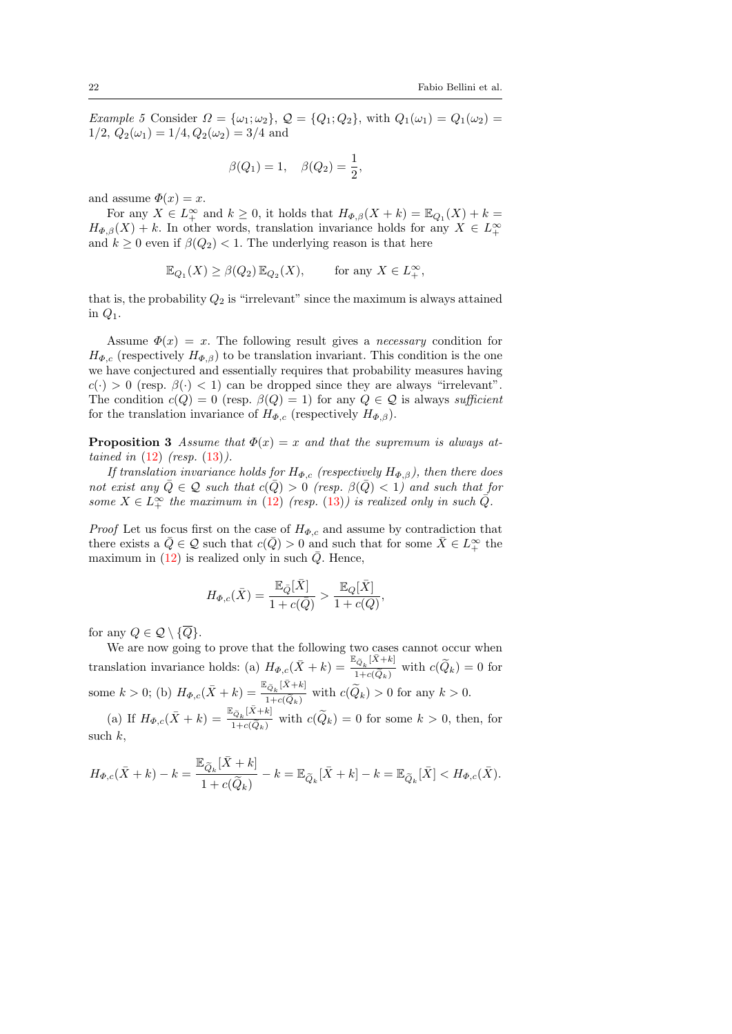Example 5 Consider  $\Omega = {\omega_1; \omega_2}$ ,  $\mathcal{Q} = {Q_1; Q_2}$ , with  $Q_1(\omega_1) = Q_1(\omega_2) =$  $1/2$ ,  $Q_2(\omega_1) = 1/4$ ,  $Q_2(\omega_2) = 3/4$  and

$$
\beta(Q_1) = 1, \quad \beta(Q_2) = \frac{1}{2},
$$

and assume  $\Phi(x) = x$ .

For any  $X \in L_+^{\infty}$  and  $k \geq 0$ , it holds that  $H_{\Phi,\beta}(X+k) = \mathbb{E}_{Q_1}(X) + k =$  $H_{\Phi,\beta}(X) + k$ . In other words, translation invariance holds for any  $X \in L^{\infty}_+$ and  $k \geq 0$  even if  $\beta(Q_2) < 1$ . The underlying reason is that here

$$
\mathbb{E}_{Q_1}(X) \ge \beta(Q_2) \mathbb{E}_{Q_2}(X), \quad \text{for any } X \in L_+^{\infty},
$$

that is, the probability  $Q_2$  is "irrelevant" since the maximum is always attained in  $Q_1$ .

Assume  $\Phi(x) = x$ . The following result gives a *necessary* condition for  $H_{\Phi,c}$  (respectively  $H_{\Phi,\beta}$ ) to be translation invariant. This condition is the one we have conjectured and essentially requires that probability measures having  $c(\cdot) > 0$  (resp.  $\beta(\cdot) < 1$ ) can be dropped since they are always "irrelevant". The condition  $c(Q) = 0$  (resp.  $\beta(Q) = 1$ ) for any  $Q \in \mathcal{Q}$  is always sufficient for the translation invariance of  $H_{\Phi,c}$  (respectively  $H_{\Phi,\beta}$ ).

**Proposition 3** Assume that  $\Phi(x) = x$  and that the supremum is always attained in  $(12)$  (resp.  $(13)$ ).

If translation invariance holds for  $H_{\Phi,c}$  (respectively  $H_{\Phi,\beta}$ ), then there does not exist any  $\overline{Q} \in \mathcal{Q}$  such that  $c(\overline{Q}) > 0$  (resp.  $\beta(\overline{Q}) < 1$ ) and such that for some  $X \in L_+^{\infty}$  the maximum in [\(12\)](#page-14-3) (resp. [\(13\)](#page-14-4)) is realized only in such  $\overline{Q}$ .

*Proof* Let us focus first on the case of  $H_{\Phi,c}$  and assume by contradiction that there exists a  $\overline{Q} \in \mathcal{Q}$  such that  $c(\overline{Q}) > 0$  and such that for some  $\overline{X} \in L^{\infty}_+$  the maximum in  $(12)$  is realized only in such  $\overline{Q}$ . Hence,

$$
H_{\Phi,c}(\bar{X}) = \frac{\mathbb{E}_{\bar{Q}}[\bar{X}]}{1 + c(\bar{Q})} > \frac{\mathbb{E}_{Q}[\bar{X}]}{1 + c(Q)},
$$

for any  $Q \in \mathcal{Q} \setminus \{\overline{Q}\}.$ 

We are now going to prove that the following two cases cannot occur when translation invariance holds: (a)  $H_{\Phi,c}(\bar{X}+k) = \frac{\mathbb{E}_{\tilde{Q}_k}[\bar{X}+k]}{1+\alpha(\tilde{Q}_k)}$  $\frac{Q_k}{1+c(\tilde{Q}_k)}$  with  $c(Q_k)=0$  for some  $k > 0$ ; (b)  $H_{\Phi,c}(\bar{X} + k) = \frac{\mathbb{E}_{\tilde{Q}_k}[\bar{X} + k]}{1 + c(\tilde{Q}_k)}$  $\frac{Q_k(1+|S|)}{1+c(\widetilde{Q}_k)}$  with  $c(Q_k) > 0$  for any  $k > 0$ .

(a) If  $H_{\Phi,c}(\bar{X}+k) = \frac{\mathbb{E}_{\tilde{Q}_k}[\bar{X}+k]}{1+e(\tilde{Q}_k)}$  $\frac{C_{Q_k}P^{(1)}(Q_k)}{1+c(\tilde{Q}_k)}$  with  $c(Q_k)=0$  for some  $k>0$ , then, for such  $k$ ,

$$
H_{\Phi,c}(\bar{X}+k)-k=\frac{\mathbb{E}_{\widetilde{Q}_k}[\bar{X}+k]}{1+c(\widetilde{Q}_k)}-k=\mathbb{E}_{\widetilde{Q}_k}[\bar{X}+k]-k=\mathbb{E}_{\widetilde{Q}_k}[\bar{X}]
$$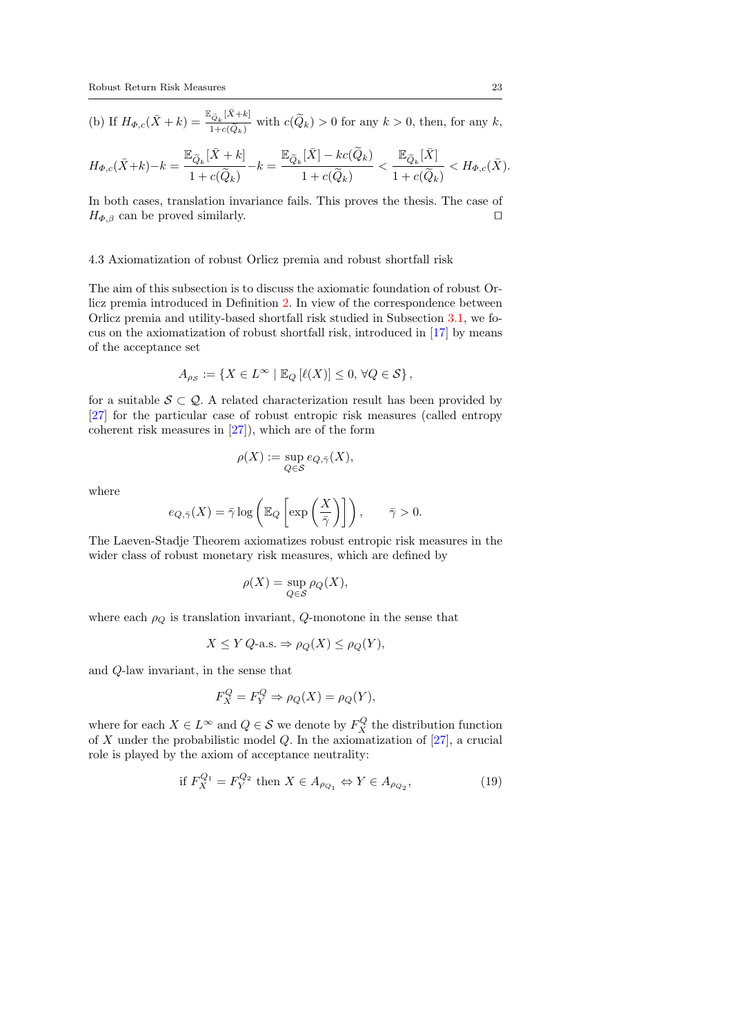(b) If  $H_{\Phi,c}(\bar{X}+k) = \frac{\mathbb{E}_{\tilde{Q}_k}[\bar{X}+k]}{1+\mathbb{E}(\tilde{Q}_k)}$  $\frac{C_{Q_k}P^{(1)}(R)}{1+c(\widetilde{Q}_k)}$  with  $c(Q_k) > 0$  for any  $k > 0$ , then, for any  $k$ ,

$$
H_{\Phi,c}(\bar{X}+k)-k=\frac{\mathbb{E}_{\widetilde{Q}_k}[\bar{X}+k]}{1+c(\widetilde{Q}_k)}-k=\frac{\mathbb{E}_{\widetilde{Q}_k}[\bar{X}]-kc(\widetilde{Q}_k)}{1+c(\widetilde{Q}_k)}<\frac{\mathbb{E}_{\widetilde{Q}_k}[\bar{X}]}{1+c(\widetilde{Q}_k)}
$$

In both cases, translation invariance fails. This proves the thesis. The case of  $H_{\Phi,\beta}$  can be proved similarly.

#### 4.3 Axiomatization of robust Orlicz premia and robust shortfall risk

The aim of this subsection is to discuss the axiomatic foundation of robust Orlicz premia introduced in Definition [2.](#page-13-2) In view of the correspondence between Orlicz premia and utility-based shortfall risk studied in Subsection [3.1,](#page-9-2) we focus on the axiomatization of robust shortfall risk, introduced in [\[17\]](#page-31-0) by means of the acceptance set

$$
A_{\rho_{\mathcal{S}}} := \{ X \in L^{\infty} \mid \mathbb{E}_{Q} \left[ \ell(X) \right] \leq 0, \, \forall Q \in \mathcal{S} \},
$$

for a suitable  $S \subset \mathcal{Q}$ . A related characterization result has been provided by [\[27\]](#page-32-7) for the particular case of robust entropic risk measures (called entropy coherent risk measures in [\[27\]](#page-32-7)), which are of the form

$$
\rho(X) := \sup_{Q \in \mathcal{S}} e_{Q, \bar{\gamma}}(X),
$$

where

$$
e_{Q,\bar{\gamma}}(X) = \bar{\gamma} \log \left( \mathbb{E}_Q \left[ \exp \left( \frac{X}{\bar{\gamma}} \right) \right] \right), \qquad \bar{\gamma} > 0.
$$

The Laeven-Stadje Theorem axiomatizes robust entropic risk measures in the wider class of robust monetary risk measures, which are defined by

$$
\rho(X) = \sup_{Q \in \mathcal{S}} \rho_Q(X),
$$

where each  $\rho_Q$  is translation invariant,  $Q$ -monotone in the sense that

$$
X \leq Y Q\text{-a.s.} \Rightarrow \rho_Q(X) \leq \rho_Q(Y),
$$

and Q-law invariant, in the sense that

$$
F_X^Q = F_Y^Q \Rightarrow \rho_Q(X) = \rho_Q(Y),
$$

where for each  $X \in L^{\infty}$  and  $Q \in \mathcal{S}$  we denote by  $F_X^Q$  the distribution function of X under the probabilistic model  $Q$ . In the axiomatization of [\[27\]](#page-32-7), a crucial role is played by the axiom of acceptance neutrality:

<span id="page-22-0"></span>
$$
\text{if } F_X^{Q_1} = F_Y^{Q_2} \text{ then } X \in A_{\rho_{Q_1}} \Leftrightarrow Y \in A_{\rho_{Q_2}},\tag{19}
$$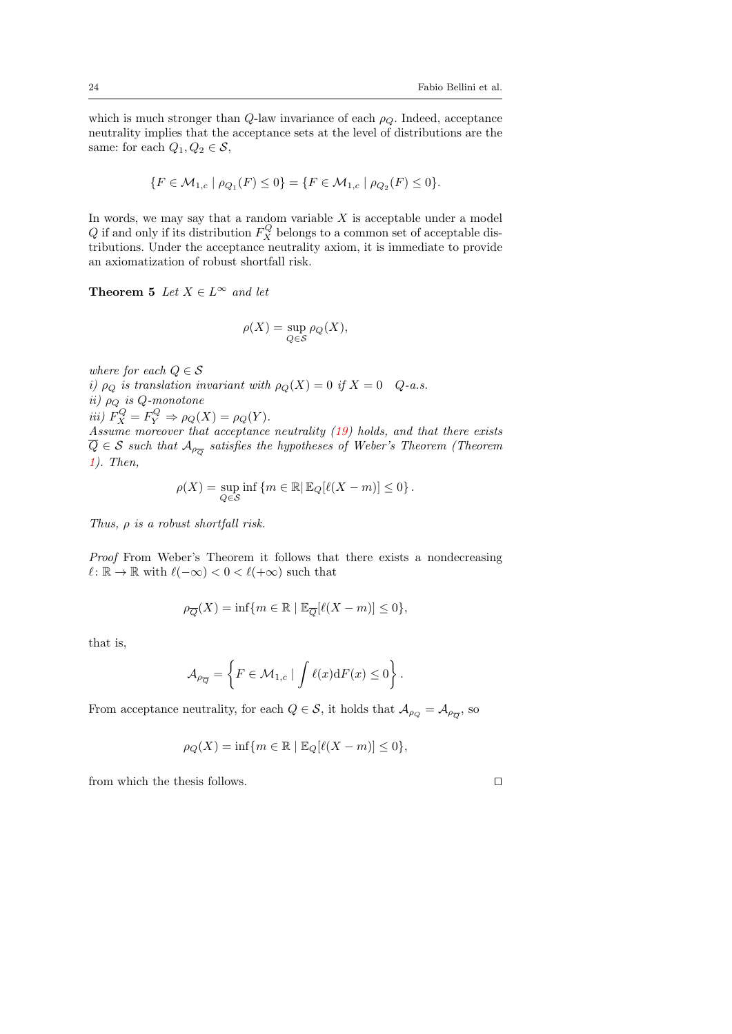which is much stronger than  $Q$ -law invariance of each  $\rho_Q$ . Indeed, acceptance neutrality implies that the acceptance sets at the level of distributions are the same: for each  $Q_1, Q_2 \in \mathcal{S}$ ,

$$
\{F \in \mathcal{M}_{1,c} \mid \rho_{Q_1}(F) \le 0\} = \{F \in \mathcal{M}_{1,c} \mid \rho_{Q_2}(F) \le 0\}.
$$

In words, we may say that a random variable  $X$  is acceptable under a model  $Q$  if and only if its distribution  $F_X^Q$  belongs to a common set of acceptable distributions. Under the acceptance neutrality axiom, it is immediate to provide an axiomatization of robust shortfall risk.

## **Theorem 5** Let  $X \in L^{\infty}$  and let

$$
\rho(X)=\sup_{Q\in\mathcal{S}}\rho_Q(X),
$$

where for each  $Q \in \mathcal{S}$ i)  $\rho_Q$  is translation invariant with  $\rho_Q(X) = 0$  if  $X = 0$  Q-a.s. ii)  $\rho_Q$  is Q-monotone iii)  $F_X^Q = F_Y^Q \Rightarrow \rho_Q(X) = \rho_Q(Y)$ . Assume moreover that acceptance neutrality [\(19\)](#page-22-0) holds, and that there exists  $Q \in \mathcal{S}$  such that  $\mathcal{A}_{\rho_{\overline{Q}}}$  satisfies the hypotheses of Weber's Theorem (Theorem [1\)](#page-11-1). Then,

$$
\rho(X) = \sup_{Q \in \mathcal{S}} \inf \left\{ m \in \mathbb{R} \middle| \mathbb{E}_Q[\ell(X-m)] \le 0 \right\}.
$$

Thus,  $\rho$  is a robust shortfall risk.

Proof From Weber's Theorem it follows that there exists a nondecreasing  $\ell : \mathbb{R} \to \mathbb{R}$  with  $\ell(-\infty) < 0 < \ell(+\infty)$  such that

$$
\rho_{\overline{Q}}(X) = \inf \{ m \in \mathbb{R} \mid \mathbb{E}_{\overline{Q}}[\ell(X - m)] \le 0 \},\
$$

that is,

$$
\mathcal{A}_{\rho_{\overline{Q}}} = \left\{ F \in \mathcal{M}_{1,c} \mid \int \ell(x) dF(x) \le 0 \right\}.
$$

From acceptance neutrality, for each  $Q \in \mathcal{S}$ , it holds that  $\mathcal{A}_{\rho_Q} = \mathcal{A}_{\rho_{\overline{Q}}}$ , so

$$
\rho_Q(X) = \inf \{ m \in \mathbb{R} \mid \mathbb{E}_Q[\ell(X-m)] \le 0 \},\
$$

from which the thesis follows.  $\Box$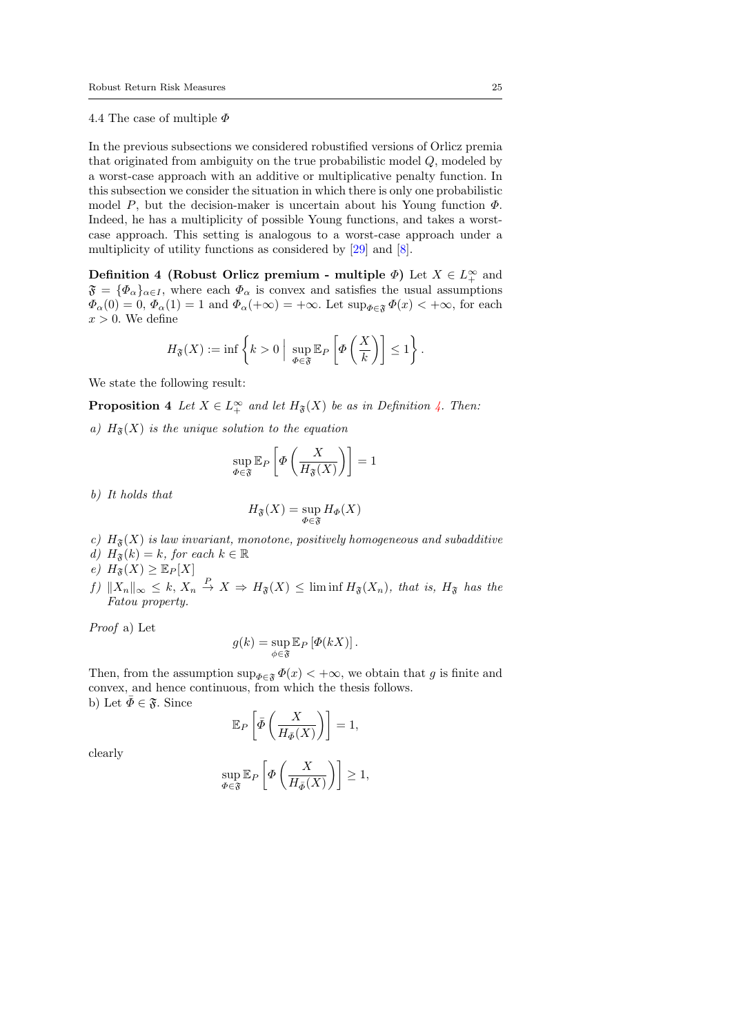### 4.4 The case of multiple  $\Phi$

In the previous subsections we considered robustified versions of Orlicz premia that originated from ambiguity on the true probabilistic model Q, modeled by a worst-case approach with an additive or multiplicative penalty function. In this subsection we consider the situation in which there is only one probabilistic model P, but the decision-maker is uncertain about his Young function  $\Phi$ . Indeed, he has a multiplicity of possible Young functions, and takes a worstcase approach. This setting is analogous to a worst-case approach under a multiplicity of utility functions as considered by [\[29\]](#page-32-14) and [\[8\]](#page-31-15).

<span id="page-24-0"></span>Definition 4 (Robust Orlicz premium - multiple  $\Phi$ ) Let  $X \in L^{\infty}_+$  and  $\mathfrak{F} = {\Phi_\alpha}_{\alpha \in I}$ , where each  $\Phi_\alpha$  is convex and satisfies the usual assumptions  $\Phi_{\alpha}(0) = 0, \Phi_{\alpha}(1) = 1$  and  $\Phi_{\alpha}(+\infty) = +\infty$ . Let  $\sup_{\Phi \in \mathfrak{F}} \Phi(x) < +\infty$ , for each  $x > 0$ . We define

$$
H_{\mathfrak{F}}(X) := \inf \left\{ k > 0 \; \Big| \; \sup_{\Phi \in \mathfrak{F}} \mathbb{E}_{P} \left[ \Phi \left( \frac{X}{k} \right) \right] \leq 1 \right\}.
$$

We state the following result:

**Proposition 4** Let  $X \in L_+^{\infty}$  and let  $H_{\mathfrak{F}}(X)$  be as in Definition [4.](#page-24-0) Then:

a)  $H_{\mathfrak{F}}(X)$  is the unique solution to the equation

$$
\sup_{\Phi \in \mathfrak{F}} \mathbb{E}_P \left[ \Phi \left( \frac{X}{H_{\mathfrak{F}}(X)} \right) \right] = 1
$$

b) It holds that

$$
H_{\mathfrak{F}}(X)=\sup_{\Phi\in\mathfrak{F}}H_{\Phi}(X)
$$

- c)  $H_{\mathfrak{F}}(X)$  is law invariant, monotone, positively homogeneous and subadditive
- d)  $H_{\mathfrak{F}}(k) = k$ , for each  $k \in \mathbb{R}$
- e)  $H_{\mathfrak{F}}(X) \geq \mathbb{E}_P[X]$
- f)  $||X_n||_{\infty} \leq k$ ,  $X_n \stackrel{P}{\to} X \Rightarrow H_{\mathfrak{F}}(X) \leq \liminf H_{\mathfrak{F}}(X_n)$ , that is,  $H_{\mathfrak{F}}$  has the Fatou property.

Proof a) Let

$$
g(k) = \sup_{\phi \in \mathfrak{F}} \mathbb{E}_P \left[ \Phi(kX) \right].
$$

Then, from the assumption  $\sup_{\Phi \in \mathfrak{F}} \Phi(x) < +\infty$ , we obtain that g is finite and convex, and hence continuous, from which the thesis follows. b) Let  $\bar{\Phi} \in \mathfrak{F}$ . Since

$$
\mathbb{E}_P\left[\bar{\varPhi}\left(\frac{X}{H_{\bar{\varPhi}}(X)}\right)\right] = 1,
$$

clearly

$$
\sup_{\varPhi\in\mathfrak{F}}\mathbb{E}_P\left[\varPhi\left(\frac{X}{H_{\bar{\varPhi}}(X)}\right)\right]\geq 1,
$$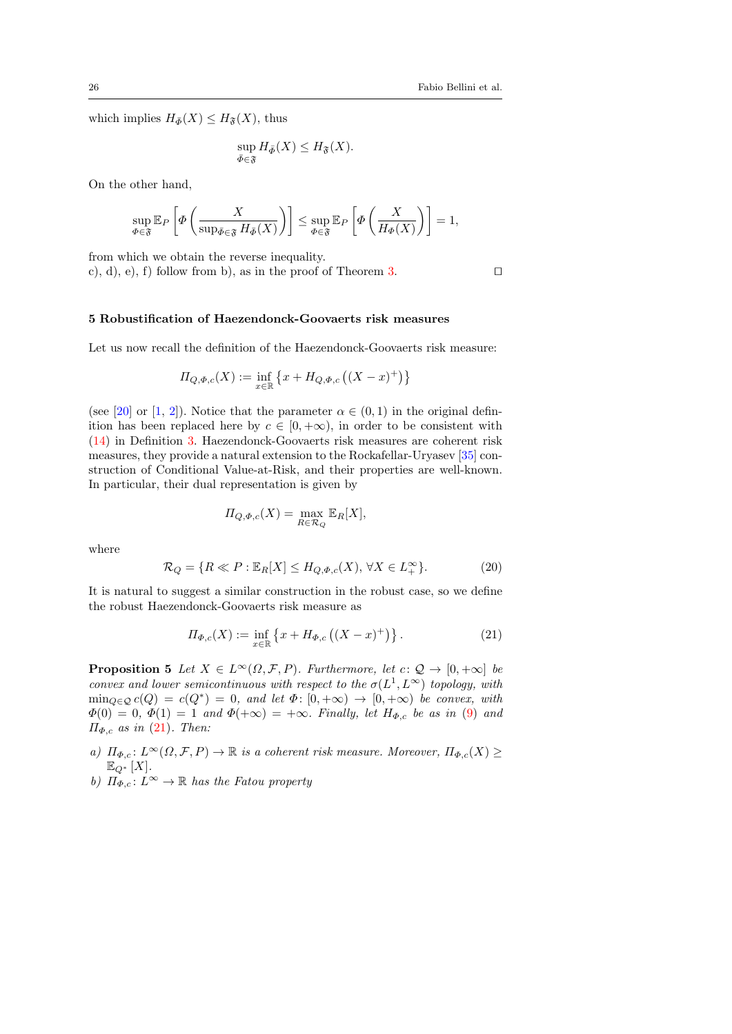which implies  $H_{\bar{\Phi}}(X) \leq H_{\mathfrak{F}}(X)$ , thus

$$
\sup_{\bar{\Phi}\in\mathfrak{F}}H_{\bar{\Phi}}(X)\leq H_{\mathfrak{F}}(X).
$$

On the other hand,

$$
\sup_{\varPhi\in\mathfrak{F}}\mathbb{E}_P\left[\varPhi\left(\frac{X}{\sup_{\bar{\varPhi}\in\mathfrak{F}}H_{\bar{\varPhi}}(X)}\right)\right]\leq \sup_{\varPhi\in\mathfrak{F}}\mathbb{E}_P\left[\varPhi\left(\frac{X}{H_{\varPhi}(X)}\right)\right]=1,
$$

from which we obtain the reverse inequality.

c), d), e), f) follow from b), as in the proof of Theorem [3.](#page-18-0)

#### <span id="page-25-0"></span>5 Robustification of Haezendonck-Goovaerts risk measures

Let us now recall the definition of the Haezendonck-Goovaerts risk measure:

$$
\Pi_{Q,\Phi,c}(X) := \inf_{x \in \mathbb{R}} \left\{ x + H_{Q,\Phi,c} \left( (X - x)^+ \right) \right\}
$$

(see [\[20\]](#page-31-1) or [\[1,](#page-30-1) [2\]](#page-30-2)). Notice that the parameter  $\alpha \in (0,1)$  in the original definition has been replaced here by  $c \in [0, +\infty)$ , in order to be consistent with [\(14\)](#page-15-2) in Definition [3.](#page-15-0) Haezendonck-Goovaerts risk measures are coherent risk measures, they provide a natural extension to the Rockafellar-Uryasev [\[35\]](#page-32-1) construction of Conditional Value-at-Risk, and their properties are well-known. In particular, their dual representation is given by

$$
\Pi_{Q,\Phi,c}(X) = \max_{R \in \mathcal{R}_Q} \mathbb{E}_R[X],
$$

where

<span id="page-25-2"></span>
$$
\mathcal{R}_Q = \{ R \ll P : \mathbb{E}_R[X] \le H_{Q,\Phi,c}(X), \forall X \in L_+^{\infty} \}.
$$
 (20)

It is natural to suggest a similar construction in the robust case, so we define the robust Haezendonck-Goovaerts risk measure as

<span id="page-25-1"></span>
$$
\Pi_{\Phi,c}(X) := \inf_{x \in \mathbb{R}} \left\{ x + H_{\Phi,c} \left( (X - x)^+ \right) \right\}.
$$
 (21)

<span id="page-25-3"></span>**Proposition 5** Let  $X \in L^{\infty}(\Omega, \mathcal{F}, P)$ . Furthermore, let  $c: \mathcal{Q} \to [0, +\infty]$  be convex and lower semicontinuous with respect to the  $\sigma(L^1, L^{\infty})$  topology, with  $\min_{Q \in \mathcal{Q}} c(Q) = c(Q^*) = 0$ , and let  $\Phi: [0, +\infty) \to [0, +\infty)$  be convex, with  $\Phi(0) = 0, \Phi(1) = 1$  and  $\Phi(+\infty) = +\infty$ . Finally, let  $H_{\Phi,c}$  be as in [\(9\)](#page-14-0) and  $\Pi_{\Phi,c}$  as in [\(21\)](#page-25-1). Then:

a)  $\Pi_{\Phi,c}: L^{\infty}(\Omega,\mathcal{F},P) \to \mathbb{R}$  is a coherent risk measure. Moreover,  $\Pi_{\Phi,c}(X) \geq$  $\mathbb{E}_{Q^*}[X].$ 

b)  $\Pi_{\Phi,c}: L^{\infty} \to \mathbb{R}$  has the Fatou property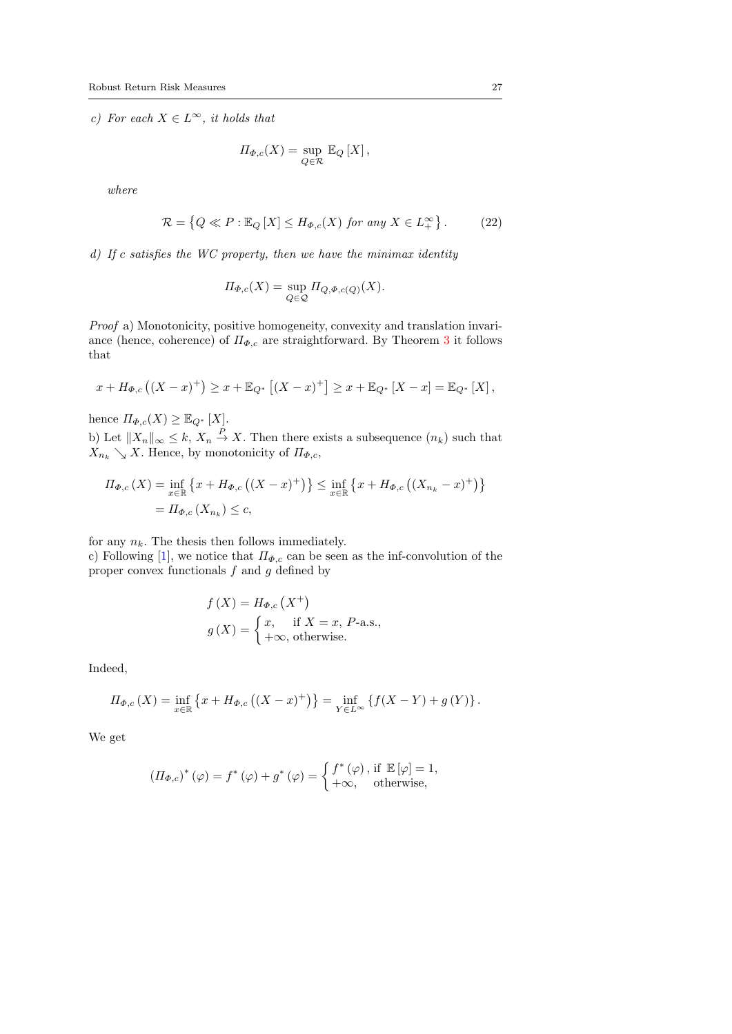c) For each  $X \in L^{\infty}$ , it holds that

$$
\Pi_{\Phi,c}(X) = \sup_{Q \in \mathcal{R}} \mathbb{E}_Q [X],
$$

where

<span id="page-26-0"></span>
$$
\mathcal{R} = \left\{ Q \ll P : \mathbb{E}_Q \left[ X \right] \le H_{\Phi,c}(X) \text{ for any } X \in L_+^{\infty} \right\}. \tag{22}
$$

d) If c satisfies the WC property, then we have the minimax identity

$$
\Pi_{\Phi,c}(X) = \sup_{Q \in \mathcal{Q}} \Pi_{Q,\Phi,c(Q)}(X).
$$

Proof a) Monotonicity, positive homogeneity, convexity and translation invariance (hence, coherence) of  $\Pi_{\Phi,c}$  are straightforward. By Theorem [3](#page-18-0) it follows that

$$
x + H_{\Phi,c}((X-x)^+) \ge x + \mathbb{E}_{Q^*}[(X-x)^+] \ge x + \mathbb{E}_{Q^*}[X-x] = \mathbb{E}_{Q^*}[X],
$$

hence  $\Pi_{\Phi,c}(X) \geq \mathbb{E}_{Q^*}[X]$ .

b) Let  $||X_n||_{\infty} \leq k, X_n \stackrel{P}{\to} X$ . Then there exists a subsequence  $(n_k)$  such that  $X_{n_k} \searrow X$ . Hence, by monotonicity of  $\Pi_{\Phi,c}$ ,

$$
\Pi_{\Phi,c}(X) = \inf_{x \in \mathbb{R}} \{ x + H_{\Phi,c}((X - x)^+) \} \le \inf_{x \in \mathbb{R}} \{ x + H_{\Phi,c}((X_{n_k} - x)^+) \}
$$
  
=  $\Pi_{\Phi,c}(X_{n_k}) \le c$ ,

for any  $n_k$ . The thesis then follows immediately.

c) Following [\[1\]](#page-30-1), we notice that  $\Pi_{\Phi,c}$  can be seen as the inf-convolution of the proper convex functionals  $f$  and  $g$  defined by

$$
f(X) = H_{\Phi,c}(X^+)
$$
  
 
$$
g(X) = \begin{cases} x, & \text{if } X = x, P\text{-a.s.}, \\ +\infty, & \text{otherwise.} \end{cases}
$$

Indeed,

$$
\Pi_{\Phi,c}(X) = \inf_{x \in \mathbb{R}} \left\{ x + H_{\Phi,c} \left( (X - x)^+ \right) \right\} = \inf_{Y \in L^\infty} \left\{ f(X - Y) + g(Y) \right\}.
$$

We get

$$
\left(\varPi_{\varPhi,c}\right)^{*}\left(\varphi\right)=f^{*}\left(\varphi\right)+g^{*}\left(\varphi\right)=\begin{cases} f^{*}\left(\varphi\right),\,\text{if}\,\,\mathbb{E}\left[\varphi\right]=1,\\ +\infty, \quad\text{otherwise}, \end{cases}
$$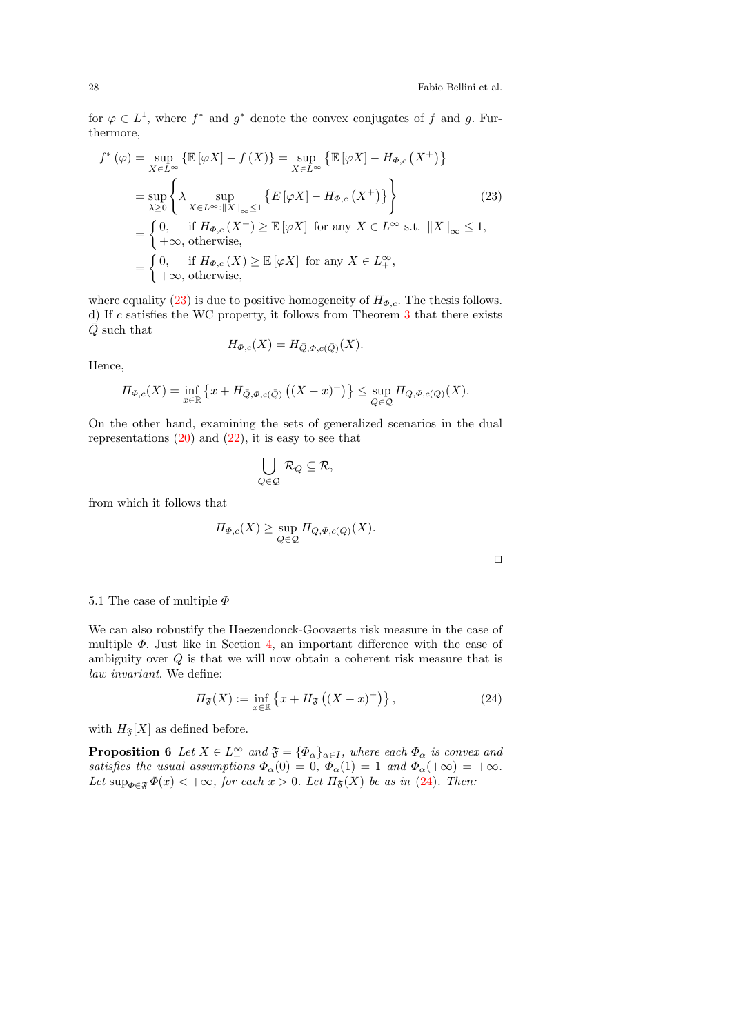for  $\varphi \in L^1$ , where  $f^*$  and  $g^*$  denote the convex conjugates of f and g. Furthermore,

<span id="page-27-0"></span>
$$
f^*(\varphi) = \sup_{X \in L^{\infty}} \left\{ \mathbb{E} \left[ \varphi X \right] - f(X) \right\} = \sup_{X \in L^{\infty}} \left\{ \mathbb{E} \left[ \varphi X \right] - H_{\Phi,c}(X^+) \right\}
$$
  
\n
$$
= \sup_{\lambda \geq 0} \left\{ \lambda \sup_{X \in L^{\infty}: \|X\|_{\infty} \leq 1} \left\{ E \left[ \varphi X \right] - H_{\Phi,c}(X^+) \right\} \right\}
$$
(23)  
\n
$$
= \begin{cases} 0, & \text{if } H_{\Phi,c}(X^+) \geq \mathbb{E} \left[ \varphi X \right] \text{ for any } X \in L^{\infty} \text{ s.t. } \|X\|_{\infty} \leq 1, \\ +\infty, & \text{otherwise,} \end{cases}
$$
  
\n
$$
= \begin{cases} 0, & \text{if } H_{\Phi,c}(X) \geq \mathbb{E} \left[ \varphi X \right] \text{ for any } X \in L^{\infty}_{+}, \\ +\infty, & \text{otherwise,} \end{cases}
$$

where equality [\(23\)](#page-27-0) is due to positive homogeneity of  $H_{\Phi,c}$ . The thesis follows. d) If c satisfies the WC property, it follows from Theorem [3](#page-18-0) that there exists  $\overline{Q}$  such that

$$
H_{\Phi,c}(X) = H_{\bar{Q},\Phi,c(\bar{Q})}(X).
$$

Hence,

$$
\Pi_{\Phi,c}(X) = \inf_{x \in \mathbb{R}} \left\{ x + H_{\bar{Q},\Phi,c(\bar{Q})} \left( (X - x)^+ \right) \right\} \le \sup_{Q \in \mathcal{Q}} \Pi_{Q,\Phi,c(Q)}(X).
$$

On the other hand, examining the sets of generalized scenarios in the dual representations  $(20)$  and  $(22)$ , it is easy to see that

$$
\bigcup_{Q\in\mathcal{Q}}\,\mathcal{R}_Q\subseteq\mathcal{R},
$$

from which it follows that

$$
\Pi_{\Phi,c}(X) \ge \sup_{Q \in \mathcal{Q}} \Pi_{Q,\Phi,c(Q)}(X).
$$

| ۰ |  |
|---|--|
|   |  |
|   |  |
|   |  |

## 5.1 The case of multiple  $\Phi$

We can also robustify the Haezendonck-Goovaerts risk measure in the case of multiple  $\Phi$ . Just like in Section [4,](#page-13-0) an important difference with the case of ambiguity over Q is that we will now obtain a coherent risk measure that is law invariant. We define:

<span id="page-27-1"></span>
$$
\Pi_{\mathfrak{F}}(X) := \inf_{x \in \mathbb{R}} \left\{ x + H_{\mathfrak{F}} \left( (X - x)^+ \right) \right\},\tag{24}
$$

with  $H_{\mathfrak{F}}[X]$  as defined before.

**Proposition 6** Let  $X \in L_+^{\infty}$  and  $\mathfrak{F} = {\phi_\alpha}_{\alpha \in I}$ , where each  $\Phi_\alpha$  is convex and satisfies the usual assumptions  $\Phi_{\alpha}(0) = 0$ ,  $\Phi_{\alpha}(1) = 1$  and  $\Phi_{\alpha}(+\infty) = +\infty$ . Let  $\sup_{\Phi \in \mathfrak{F}} \Phi(x) < +\infty$ , for each  $x > 0$ . Let  $\Pi_{\mathfrak{F}}(X)$  be as in [\(24\)](#page-27-1). Then: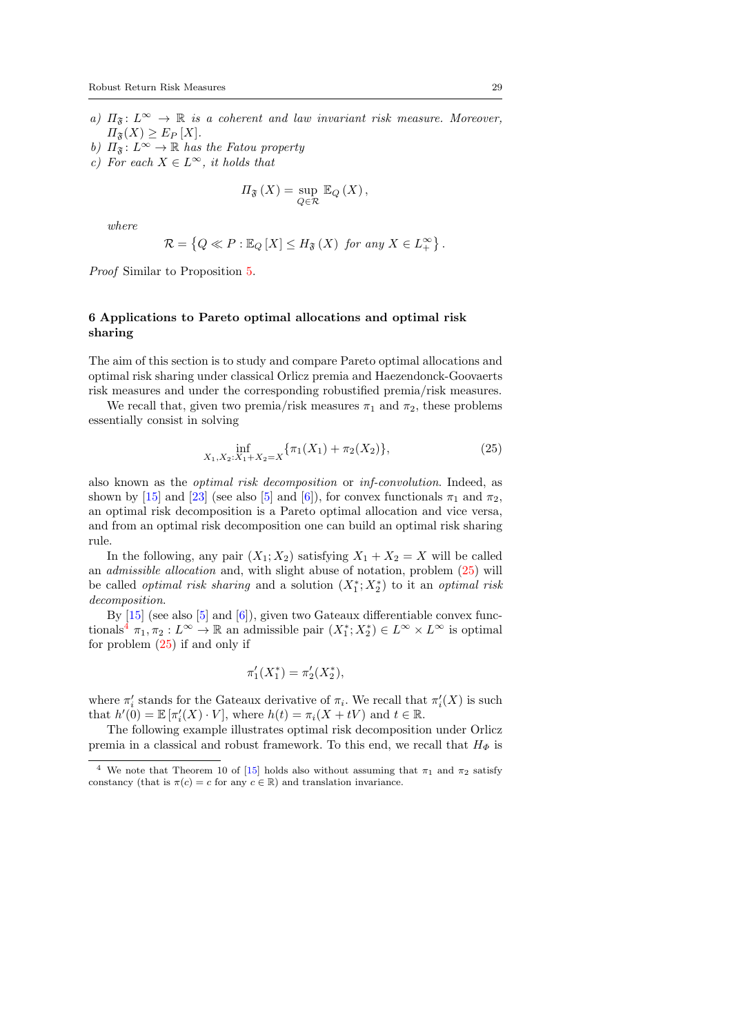- a)  $\Pi_{\mathfrak{F}}: L^{\infty} \to \mathbb{R}$  is a coherent and law invariant risk measure. Moreover,  $\Pi_{\mathfrak{F}}(X) \geq E_P[X].$
- b)  $\Pi_{\mathfrak{F}}: L^{\infty} \to \mathbb{R}$  has the Fatou property
- c) For each  $X \in L^{\infty}$ , it holds that

$$
\Pi_{\mathfrak{F}}(X) = \sup_{Q \in \mathcal{R}} \mathbb{E}_Q(X),
$$

where

$$
\mathcal{R} = \left\{ Q \ll P : \mathbb{E}_Q \left[ X \right] \leq H_{\mathfrak{F}} \left( X \right) \text{ for any } X \in L_+^{\infty} \right\}.
$$

Proof Similar to Proposition [5.](#page-25-3)

## <span id="page-28-0"></span>6 Applications to Pareto optimal allocations and optimal risk sharing

The aim of this section is to study and compare Pareto optimal allocations and optimal risk sharing under classical Orlicz premia and Haezendonck-Goovaerts risk measures and under the corresponding robustified premia/risk measures.

We recall that, given two premia/risk measures  $\pi_1$  and  $\pi_2$ , these problems essentially consist in solving

<span id="page-28-1"></span>
$$
\inf_{X_1, X_2:X_1+X_2=X} \{\pi_1(X_1)+\pi_2(X_2)\},\tag{25}
$$

also known as the optimal risk decomposition or inf-convolution. Indeed, as shown by [\[15\]](#page-31-16) and [\[23\]](#page-31-17) (see also [\[5\]](#page-31-18) and [\[6\]](#page-31-19)), for convex functionals  $\pi_1$  and  $\pi_2$ , an optimal risk decomposition is a Pareto optimal allocation and vice versa, and from an optimal risk decomposition one can build an optimal risk sharing rule.

In the following, any pair  $(X_1; X_2)$  satisfying  $X_1 + X_2 = X$  will be called an admissible allocation and, with slight abuse of notation, problem [\(25\)](#page-28-1) will be called *optimal risk sharing* and a solution  $(X_1^*; X_2^*)$  to it an *optimal risk* decomposition.

By [\[15\]](#page-31-16) (see also [\[5\]](#page-31-18) and [\[6\]](#page-31-19)), given two Gateaux differentiable convex func-tionals<sup>[4](#page-28-2)</sup>  $\pi_1, \pi_2: L^{\infty} \to \mathbb{R}$  an admissible pair  $(X_1^*; X_2^*) \in L^{\infty} \times L^{\infty}$  is optimal for problem  $(25)$  if and only if

$$
\pi_1'(X_1^*) = \pi_2'(X_2^*),
$$

where  $\pi'_i$  stands for the Gateaux derivative of  $\pi_i$ . We recall that  $\pi'_i(X)$  is such that  $h'(0) = \mathbb{E} [\pi_i'(X) \cdot V]$ , where  $h(t) = \pi_i(X + tV)$  and  $t \in \mathbb{R}$ .

The following example illustrates optimal risk decomposition under Orlicz premia in a classical and robust framework. To this end, we recall that  $H_{\Phi}$  is

<span id="page-28-2"></span><sup>&</sup>lt;sup>4</sup> We note that Theorem 10 of [\[15\]](#page-31-16) holds also without assuming that  $\pi_1$  and  $\pi_2$  satisfy constancy (that is  $\pi(c) = c$  for any  $c \in \mathbb{R}$ ) and translation invariance.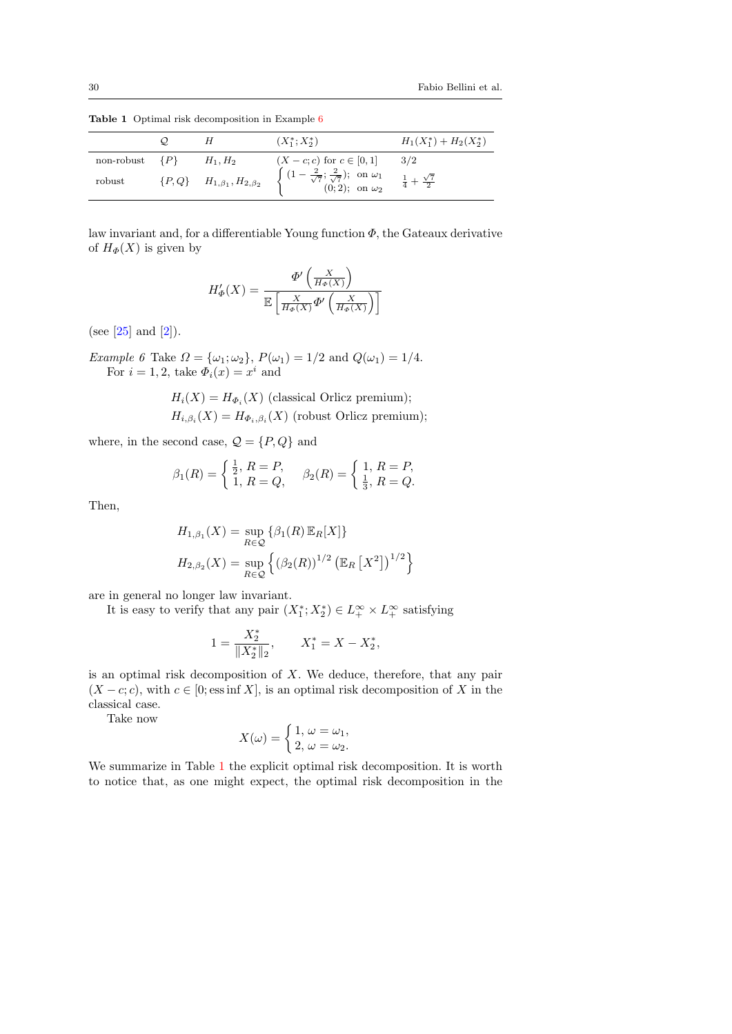|                    | $\omega$ |                                                 | $(X_1^*; X_2^*)$                                                                                                                                                                                             | $H_1(X_1^*)+H_2(X_2^*)$ |
|--------------------|----------|-------------------------------------------------|--------------------------------------------------------------------------------------------------------------------------------------------------------------------------------------------------------------|-------------------------|
| non-robust $\{P\}$ |          | $H_1, H_2$                                      |                                                                                                                                                                                                              |                         |
| robust             |          | $\{P,Q\}$ $\quad$ $H_{1,\beta_1},H_{2,\beta_2}$ | $(X - c; c)$ for $c \in [0, 1]$ $3/2$<br>$\begin{cases} (1 - \frac{2}{\sqrt{7}}, \frac{2}{\sqrt{7}}); & \text{on } \omega_1 \\ (0; 2); & \text{on } \omega_2 \end{cases}$ $\frac{1}{4} + \frac{\sqrt{7}}{2}$ |                         |

<span id="page-29-1"></span>Table 1 Optimal risk decomposition in Example [6](#page-29-0)

law invariant and, for a differentiable Young function  $\Phi$ , the Gateaux derivative of  $H_{\Phi}(X)$  is given by

$$
H'_{\varPhi}(X) = \frac{\varPhi'\left(\frac{X}{H_{\varPhi}(X)}\right)}{\mathbb{E}\left[\frac{X}{H_{\varPhi}(X)}\varPhi'\left(\frac{X}{H_{\varPhi}(X)}\right)\right]}
$$

(see [\[25\]](#page-31-20) and [\[2\]](#page-30-2)).

<span id="page-29-0"></span>Example 6 Take  $\Omega = {\{\omega_1; \omega_2\}}, P(\omega_1) = 1/2$  and  $Q(\omega_1) = 1/4$ . For  $i = 1, 2$ , take  $\Phi_i(x) = x^i$  and

$$
H_i(X) = H_{\Phi_i}(X)
$$
 (classical Orlicz premium);  

$$
H_{i,\beta_i}(X) = H_{\Phi_i,\beta_i}(X)
$$
 (robust Orlicz premium);

where, in the second case,  $\mathcal{Q} = \{P, Q\}$  and

$$
\beta_1(R) = \begin{cases} \frac{1}{2}, R = P, \\ 1, R = Q, \end{cases} \quad \beta_2(R) = \begin{cases} 1, R = P, \\ \frac{1}{3}, R = Q. \end{cases}
$$

Then,

$$
H_{1,\beta_1}(X) = \sup_{R \in \mathcal{Q}} \{ \beta_1(R) \, \mathbb{E}_R[X] \}
$$
  

$$
H_{2,\beta_2}(X) = \sup_{R \in \mathcal{Q}} \left\{ (\beta_2(R))^{1/2} \left( \mathbb{E}_R [X^2] \right)^{1/2} \right\}
$$

are in general no longer law invariant.

It is easy to verify that any pair  $(X_1^*; X_2^*) \in L_+^{\infty} \times L_+^{\infty}$  satisfying

$$
1 = \frac{X_2^*}{\|X_2^*\|_2}, \qquad X_1^* = X - X_2^*,
$$

is an optimal risk decomposition of  $X$ . We deduce, therefore, that any pair  $(X - c; c)$ , with  $c \in [0; \text{ess inf } X]$ , is an optimal risk decomposition of X in the classical case.

Take now

$$
X(\omega) = \begin{cases} 1, \omega = \omega_1, \\ 2, \omega = \omega_2. \end{cases}
$$

We summarize in Table [1](#page-29-1) the explicit optimal risk decomposition. It is worth to notice that, as one might expect, the optimal risk decomposition in the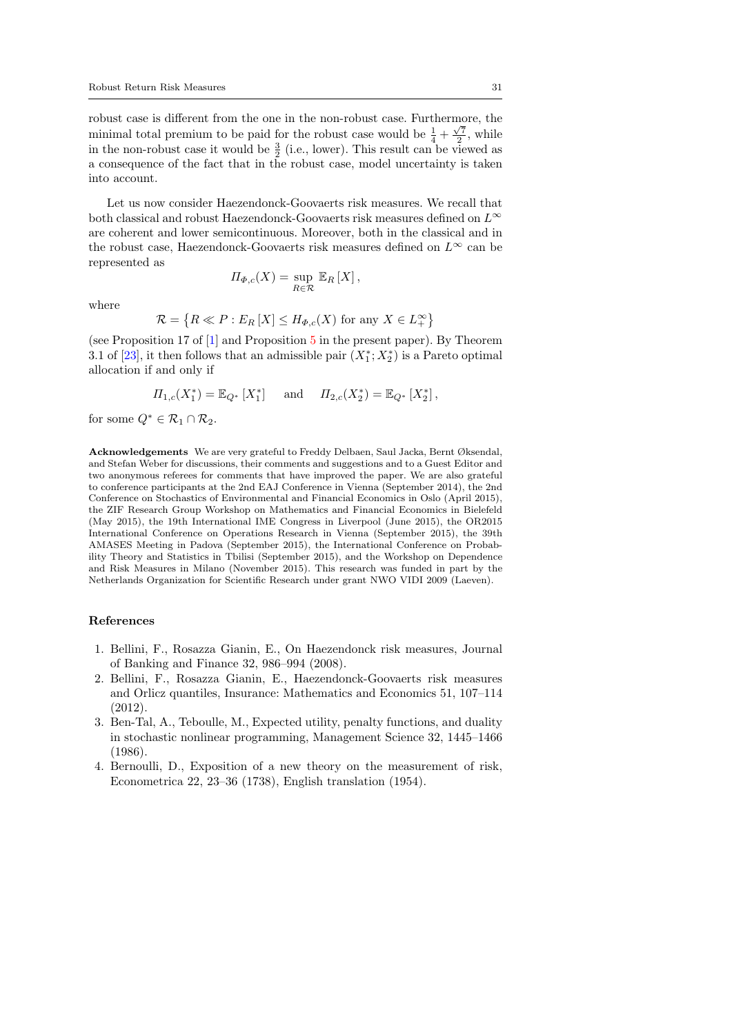robust case is different from the one in the non-robust case. Furthermore, the √ minimal total premium to be paid for the robust case would be  $\frac{1}{4} + \frac{\sqrt{7}}{2}$ , while in the non-robust case it would be  $\frac{3}{2}$  (i.e., lower). This result can be viewed as a consequence of the fact that in the robust case, model uncertainty is taken into account.

Let us now consider Haezendonck-Goovaerts risk measures. We recall that both classical and robust Haezendonck-Goovaerts risk measures defined on  $L^\infty$ are coherent and lower semicontinuous. Moreover, both in the classical and in the robust case, Haezendonck-Goovaerts risk measures defined on  $L^{\infty}$  can be represented as

$$
\Pi_{\Phi,c}(X) = \sup_{R \in \mathcal{R}} \mathbb{E}_R [X],
$$

where

$$
\mathcal{R} = \left\{ R \ll P : E_R \left[ X \right] \le H_{\Phi,c}(X) \text{ for any } X \in L_+^{\infty} \right\}
$$

(see Proposition 17 of [\[1\]](#page-30-1) and Proposition [5](#page-25-3) in the present paper). By Theorem 3.1 of [\[23\]](#page-31-17), it then follows that an admissible pair  $(X_1^*; X_2^*)$  is a Pareto optimal allocation if and only if

$$
\Pi_{1,c}(X_1^*) = \mathbb{E}_{Q^*}[X_1^*]
$$
 and  $\Pi_{2,c}(X_2^*) = \mathbb{E}_{Q^*}[X_2^*],$ 

for some  $Q^* \in \mathcal{R}_1 \cap \mathcal{R}_2$ .

Acknowledgements We are very grateful to Freddy Delbaen, Saul Jacka, Bernt Øksendal, and Stefan Weber for discussions, their comments and suggestions and to a Guest Editor and two anonymous referees for comments that have improved the paper. We are also grateful to conference participants at the 2nd EAJ Conference in Vienna (September 2014), the 2nd Conference on Stochastics of Environmental and Financial Economics in Oslo (April 2015), the ZIF Research Group Workshop on Mathematics and Financial Economics in Bielefeld (May 2015), the 19th International IME Congress in Liverpool (June 2015), the OR2015 International Conference on Operations Research in Vienna (September 2015), the 39th AMASES Meeting in Padova (September 2015), the International Conference on Probability Theory and Statistics in Tbilisi (September 2015), and the Workshop on Dependence and Risk Measures in Milano (November 2015). This research was funded in part by the Netherlands Organization for Scientific Research under grant NWO VIDI 2009 (Laeven).

#### References

- <span id="page-30-1"></span>1. Bellini, F., Rosazza Gianin, E., On Haezendonck risk measures, Journal of Banking and Finance 32, 986–994 (2008).
- <span id="page-30-2"></span>2. Bellini, F., Rosazza Gianin, E., Haezendonck-Goovaerts risk measures and Orlicz quantiles, Insurance: Mathematics and Economics 51, 107–114 (2012).
- <span id="page-30-3"></span>3. Ben-Tal, A., Teboulle, M., Expected utility, penalty functions, and duality in stochastic nonlinear programming, Management Science 32, 1445–1466 (1986).
- <span id="page-30-0"></span>4. Bernoulli, D., Exposition of a new theory on the measurement of risk, Econometrica 22, 23–36 (1738), English translation (1954).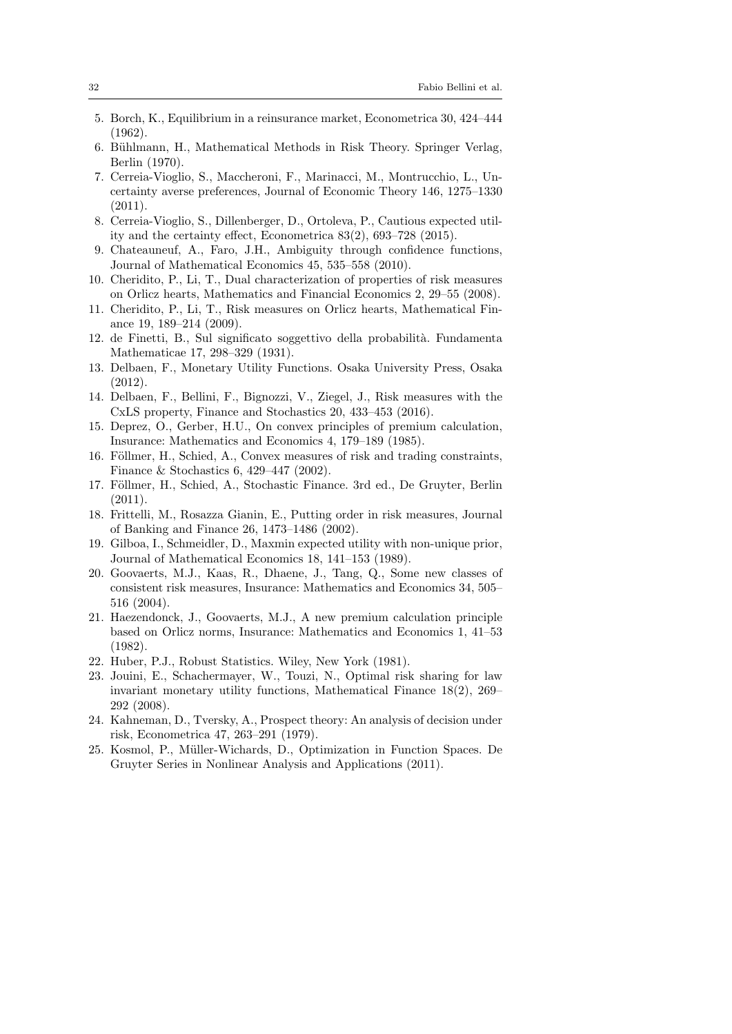- <span id="page-31-18"></span>5. Borch, K., Equilibrium in a reinsurance market, Econometrica 30, 424–444 (1962).
- <span id="page-31-19"></span>6. Bühlmann, H., Mathematical Methods in Risk Theory. Springer Verlag, Berlin (1970).
- <span id="page-31-13"></span>7. Cerreia-Vioglio, S., Maccheroni, F., Marinacci, M., Montrucchio, L., Uncertainty averse preferences, Journal of Economic Theory 146, 1275–1330  $(2011).$
- <span id="page-31-15"></span>8. Cerreia-Vioglio, S., Dillenberger, D., Ortoleva, P., Cautious expected utility and the certainty effect, Econometrica 83(2), 693–728 (2015).
- <span id="page-31-3"></span>9. Chateauneuf, A., Faro, J.H., Ambiguity through confidence functions, Journal of Mathematical Economics 45, 535–558 (2010).
- <span id="page-31-8"></span>10. Cheridito, P., Li, T., Dual characterization of properties of risk measures on Orlicz hearts, Mathematics and Financial Economics 2, 29–55 (2008).
- <span id="page-31-9"></span>11. Cheridito, P., Li, T., Risk measures on Orlicz hearts, Mathematical Finance 19, 189–214 (2009).
- <span id="page-31-4"></span>12. de Finetti, B., Sul significato soggettivo della probabilit`a. Fundamenta Mathematicae 17, 298–329 (1931).
- <span id="page-31-10"></span>13. Delbaen, F., Monetary Utility Functions. Osaka University Press, Osaka (2012).
- <span id="page-31-12"></span>14. Delbaen, F., Bellini, F., Bignozzi, V., Ziegel, J., Risk measures with the CxLS property, Finance and Stochastics 20, 433–453 (2016).
- <span id="page-31-16"></span>15. Deprez, O., Gerber, H.U., On convex principles of premium calculation, Insurance: Mathematics and Economics 4, 179–189 (1985).
- <span id="page-31-5"></span>16. Föllmer, H., Schied, A., Convex measures of risk and trading constraints, Finance & Stochastics 6, 429–447 (2002).
- <span id="page-31-0"></span>17. Föllmer, H., Schied, A., Stochastic Finance. 3rd ed., De Gruyter, Berlin (2011).
- <span id="page-31-6"></span>18. Frittelli, M., Rosazza Gianin, E., Putting order in risk measures, Journal of Banking and Finance 26, 1473–1486 (2002).
- <span id="page-31-2"></span>19. Gilboa, I., Schmeidler, D., Maxmin expected utility with non-unique prior, Journal of Mathematical Economics 18, 141–153 (1989).
- <span id="page-31-1"></span>20. Goovaerts, M.J., Kaas, R., Dhaene, J., Tang, Q., Some new classes of consistent risk measures, Insurance: Mathematics and Economics 34, 505– 516 (2004).
- <span id="page-31-7"></span>21. Haezendonck, J., Goovaerts, M.J., A new premium calculation principle based on Orlicz norms, Insurance: Mathematics and Economics 1, 41–53 (1982).
- <span id="page-31-14"></span>22. Huber, P.J., Robust Statistics. Wiley, New York (1981).
- <span id="page-31-17"></span>23. Jouini, E., Schachermayer, W., Touzi, N., Optimal risk sharing for law invariant monetary utility functions, Mathematical Finance 18(2), 269– 292 (2008).
- <span id="page-31-11"></span>24. Kahneman, D., Tversky, A., Prospect theory: An analysis of decision under risk, Econometrica 47, 263–291 (1979).
- <span id="page-31-20"></span>25. Kosmol, P., Müller-Wichards, D., Optimization in Function Spaces. De Gruyter Series in Nonlinear Analysis and Applications (2011).